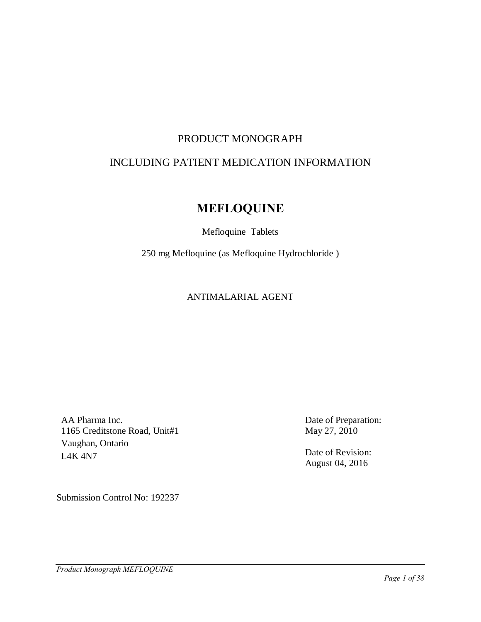# PRODUCT MONOGRAPH

# INCLUDING PATIENT MEDICATION INFORMATION

# **MEFLOQUINE**

### Mefloquine Tablets

250 mg Mefloquine (as Mefloquine Hydrochloride )

### ANTIMALARIAL AGENT

AA Pharma Inc. 1165 Creditstone Road, Unit#1 Vaughan, Ontario L4K 4N7

Date of Preparation: May 27, 2010

Date of Revision: August 04, 2016

Submission Control No: 192237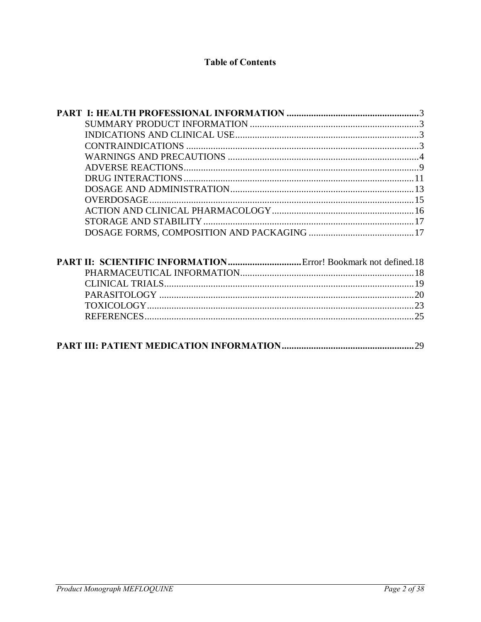# **Table of Contents**

| 29 |
|----|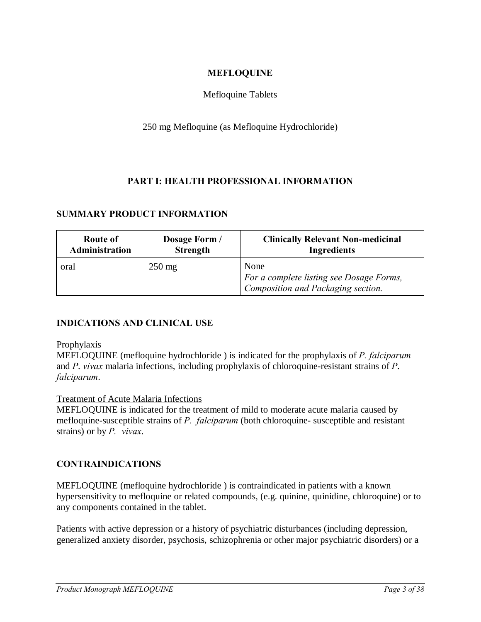### **MEFLOQUINE**

### Mefloquine Tablets

### 250 mg Mefloquine (as Mefloquine Hydrochloride)

### **PART I: HEALTH PROFESSIONAL INFORMATION**

### **SUMMARY PRODUCT INFORMATION**

| Route of       | Dosage Form /    | <b>Clinically Relevant Non-medicinal</b>                                               |
|----------------|------------------|----------------------------------------------------------------------------------------|
| Administration | <b>Strength</b>  | <b>Ingredients</b>                                                                     |
| oral           | $250 \text{ mg}$ | None<br>For a complete listing see Dosage Forms,<br>Composition and Packaging section. |

### **INDICATIONS AND CLINICAL USE**

#### Prophylaxis

MEFLOQUINE (mefloquine hydrochloride ) is indicated for the prophylaxis of *P. falciparum* and *P*. *vivax* malaria infections, including prophylaxis of chloroquine-resistant strains of *P*. *falciparum*.

#### Treatment of Acute Malaria Infections

MEFLOQUINE is indicated for the treatment of mild to moderate acute malaria caused by mefloquine-susceptible strains of *P. falciparum* (both chloroquine- susceptible and resistant strains) or by *P. vivax*.

### **CONTRAINDICATIONS**

MEFLOQUINE (mefloquine hydrochloride ) is contraindicated in patients with a known hypersensitivity to mefloquine or related compounds, (e.g. quinine, quinidine, chloroquine) or to any components contained in the tablet.

<span id="page-2-2"></span><span id="page-2-1"></span><span id="page-2-0"></span>Patients with active depression or a history of psychiatric disturbances (including depression, generalized anxiety disorder, psychosis, schizophrenia or other major psychiatric disorders) or a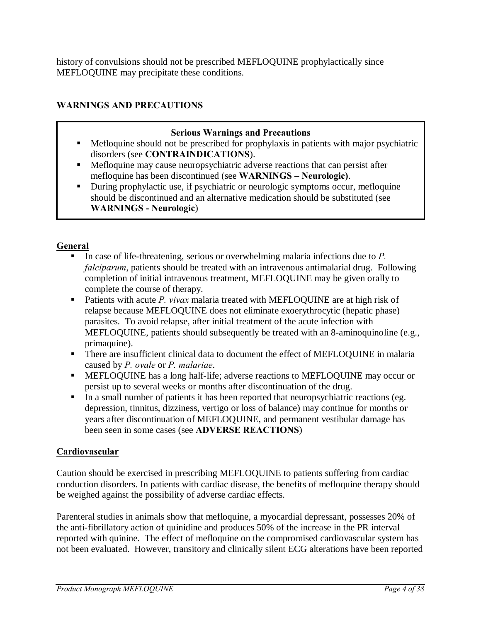history of convulsions should not be prescribed MEFLOQUINE prophylactically since MEFLOQUINE may precipitate these conditions.

# **WARNINGS AND PRECAUTIONS**

# **Serious Warnings and Precautions**

- ß Mefloquine should not be prescribed for prophylaxis in patients with major psychiatric disorders (see **CONTRAINDICATIONS**).
- ß Mefloquine may cause neuropsychiatric adverse reactions that can persist after mefloquine has been discontinued (see **WARNINGS – Neurologic)**.
- During prophylactic use, if psychiatric or neurologic symptoms occur, mefloquine should be discontinued and an alternative medication should be substituted (see **WARNINGS - Neurologic**)

# **General**

- ß In case of life-threatening, serious or overwhelming malaria infections due to *P. falciparum*, patients should be treated with an intravenous antimalarial drug. Following completion of initial intravenous treatment, MEFLOQUINE may be given orally to complete the course of therapy.
- Patients with acute *P. vivax* malaria treated with MEFLOQUINE are at high risk of relapse because MEFLOQUINE does not eliminate exoerythrocytic (hepatic phase) parasites. To avoid relapse, after initial treatment of the acute infection with MEFLOQUINE, patients should subsequently be treated with an 8-aminoquinoline (e.g., primaquine).
- There are insufficient clinical data to document the effect of MEFLOQUINE in malaria caused by *P. ovale* or *P. malariae*.
- **EXECUTE:** MEFLOQUINE has a long half-life; adverse reactions to MEFLOQUINE may occur or persist up to several weeks or months after discontinuation of the drug.
- In a small number of patients it has been reported that neuropsychiatric reactions (eg. depression, tinnitus, dizziness, vertigo or loss of balance) may continue for months or years after discontinuation of MEFLOQUINE, and permanent vestibular damage has been seen in some cases (see **ADVERSE REACTIONS**)

# **Cardiovascular**

Caution should be exercised in prescribing MEFLOQUINE to patients suffering from cardiac conduction disorders. In patients with cardiac disease, the benefits of mefloquine therapy should be weighed against the possibility of adverse cardiac effects.

<span id="page-3-0"></span>Parenteral studies in animals show that mefloquine, a myocardial depressant, possesses 20% of the anti-fibrillatory action of quinidine and produces 50% of the increase in the PR interval reported with quinine. The effect of mefloquine on the compromised cardiovascular system has not been evaluated. However, transitory and clinically silent ECG alterations have been reported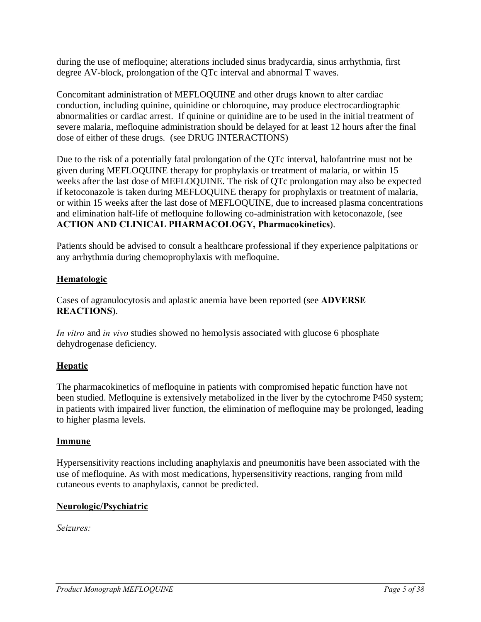during the use of mefloquine; alterations included sinus bradycardia, sinus arrhythmia, first degree AV-block, prolongation of the QTc interval and abnormal T waves.

Concomitant administration of MEFLOQUINE and other drugs known to alter cardiac conduction, including quinine, quinidine or chloroquine, may produce electrocardiographic abnormalities or cardiac arrest. If quinine or quinidine are to be used in the initial treatment of severe malaria, mefloquine administration should be delayed for at least 12 hours after the final dose of either of these drugs. (see DRUG INTERACTIONS)

Due to the risk of a potentially fatal prolongation of the QTc interval, halofantrine must not be given during MEFLOQUINE therapy for prophylaxis or treatment of malaria, or within 15 weeks after the last dose of MEFLOQUINE. The risk of QTc prolongation may also be expected if ketoconazole is taken during MEFLOQUINE therapy for prophylaxis or treatment of malaria, or within 15 weeks after the last dose of MEFLOQUINE, due to increased plasma concentrations and elimination half-life of mefloquine following co-administration with ketoconazole, (see **ACTION AND CLINICAL PHARMACOLOGY, Pharmacokinetics**).

Patients should be advised to consult a healthcare professional if they experience palpitations or any arrhythmia during chemoprophylaxis with mefloquine.

# **Hematologic**

Cases of agranulocytosis and aplastic anemia have been reported (see **ADVERSE REACTIONS**).

*In vitro* and *in vivo* studies showed no hemolysis associated with glucose 6 phosphate dehydrogenase deficiency.

# **Hepatic**

The pharmacokinetics of mefloquine in patients with compromised hepatic function have not been studied. Mefloquine is extensively metabolized in the liver by the cytochrome P450 system; in patients with impaired liver function, the elimination of mefloquine may be prolonged, leading to higher plasma levels.

### **Immune**

Hypersensitivity reactions including anaphylaxis and pneumonitis have been associated with the use of mefloquine. As with most medications, hypersensitivity reactions, ranging from mild cutaneous events to anaphylaxis, cannot be predicted.

# **Neurologic/Psychiatric**

*Seizures:*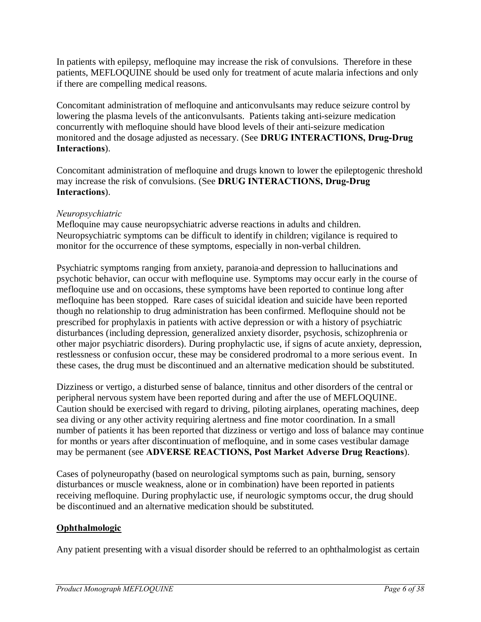In patients with epilepsy, mefloquine may increase the risk of convulsions. Therefore in these patients, MEFLOQUINE should be used only for treatment of acute malaria infections and only if there are compelling medical reasons.

Concomitant administration of mefloquine and anticonvulsants may reduce seizure control by lowering the plasma levels of the anticonvulsants. Patients taking anti-seizure medication concurrently with mefloquine should have blood levels of their anti-seizure medication monitored and the dosage adjusted as necessary. (See **DRUG INTERACTIONS, Drug-Drug Interactions**).

Concomitant administration of mefloquine and drugs known to lower the epileptogenic threshold may increase the risk of convulsions. (See **DRUG INTERACTIONS, Drug-Drug Interactions**).

### *Neuropsychiatric*

Mefloquine may cause neuropsychiatric adverse reactions in adults and children. Neuropsychiatric symptoms can be difficult to identify in children; vigilance is required to monitor for the occurrence of these symptoms, especially in non-verbal children.

Psychiatric symptoms ranging from anxiety, paranoia and depression to hallucinations and psychotic behavior, can occur with mefloquine use. Symptoms may occur early in the course of mefloquine use and on occasions, these symptoms have been reported to continue long after mefloquine has been stopped. Rare cases of suicidal ideation and suicide have been reported though no relationship to drug administration has been confirmed. Mefloquine should not be prescribed for prophylaxis in patients with active depression or with a history of psychiatric disturbances (including depression, generalized anxiety disorder, psychosis, schizophrenia or other major psychiatric disorders). During prophylactic use, if signs of acute anxiety, depression, restlessness or confusion occur, these may be considered prodromal to a more serious event. In these cases, the drug must be discontinued and an alternative medication should be substituted.

Dizziness or vertigo, a disturbed sense of balance, tinnitus and other disorders of the central or peripheral nervous system have been reported during and after the use of MEFLOQUINE. Caution should be exercised with regard to driving, piloting airplanes, operating machines, deep sea diving or any other activity requiring alertness and fine motor coordination. In a small number of patients it has been reported that dizziness or vertigo and loss of balance may continue for months or years after discontinuation of mefloquine, and in some cases vestibular damage may be permanent (see **ADVERSE REACTIONS, Post Market Adverse Drug Reactions**).

Cases of polyneuropathy (based on neurological symptoms such as pain, burning, sensory disturbances or muscle weakness, alone or in combination) have been reported in patients receiving mefloquine. During prophylactic use, if neurologic symptoms occur, the drug should be discontinued and an alternative medication should be substituted.

# **Ophthalmologic**

Any patient presenting with a visual disorder should be referred to an ophthalmologist as certain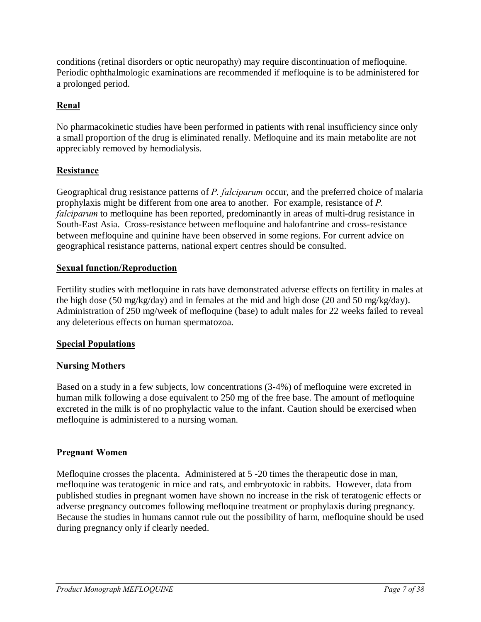conditions (retinal disorders or optic neuropathy) may require discontinuation of mefloquine. Periodic ophthalmologic examinations are recommended if mefloquine is to be administered for a prolonged period.

# **Renal**

No pharmacokinetic studies have been performed in patients with renal insufficiency since only a small proportion of the drug is eliminated renally. Mefloquine and its main metabolite are not appreciably removed by hemodialysis.

# **Resistance**

Geographical drug resistance patterns of *P. falciparum* occur, and the preferred choice of malaria prophylaxis might be different from one area to another. For example, resistance of *P. falciparum* to mefloquine has been reported, predominantly in areas of multi-drug resistance in South-East Asia. Cross-resistance between mefloquine and halofantrine and cross-resistance between mefloquine and quinine have been observed in some regions. For current advice on geographical resistance patterns, national expert centres should be consulted.

### **Sexual function/Reproduction**

Fertility studies with mefloquine in rats have demonstrated adverse effects on fertility in males at the high dose (50 mg/kg/day) and in females at the mid and high dose (20 and 50 mg/kg/day). Administration of 250 mg/week of mefloquine (base) to adult males for 22 weeks failed to reveal any deleterious effects on human spermatozoa.

### **Special Populations**

# **Nursing Mothers**

Based on a study in a few subjects, low concentrations (3-4%) of mefloquine were excreted in human milk following a dose equivalent to 250 mg of the free base. The amount of mefloquine excreted in the milk is of no prophylactic value to the infant. Caution should be exercised when mefloquine is administered to a nursing woman.

### **Pregnant Women**

Mefloquine crosses the placenta. Administered at 5 -20 times the therapeutic dose in man, mefloquine was teratogenic in mice and rats, and embryotoxic in rabbits. However, data from published studies in pregnant women have shown no increase in the risk of teratogenic effects or adverse pregnancy outcomes following mefloquine treatment or prophylaxis during pregnancy. Because the studies in humans cannot rule out the possibility of harm, mefloquine should be used during pregnancy only if clearly needed.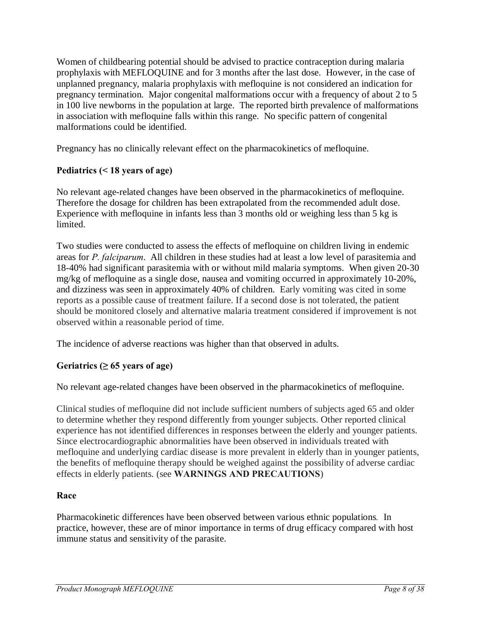Women of childbearing potential should be advised to practice contraception during malaria prophylaxis with MEFLOQUINE and for 3 months after the last dose. However, in the case of unplanned pregnancy, malaria prophylaxis with mefloquine is not considered an indication for pregnancy termination. Major congenital malformations occur with a frequency of about 2 to 5 in 100 live newborns in the population at large. The reported birth prevalence of malformations in association with mefloquine falls within this range. No specific pattern of congenital malformations could be identified.

Pregnancy has no clinically relevant effect on the pharmacokinetics of mefloquine.

# **Pediatrics (< 18 years of age)**

No relevant age-related changes have been observed in the pharmacokinetics of mefloquine. Therefore the dosage for children has been extrapolated from the recommended adult dose. Experience with mefloquine in infants less than 3 months old or weighing less than 5 kg is limited.

Two studies were conducted to assess the effects of mefloquine on children living in endemic areas for *P. falciparum*. All children in these studies had at least a low level of parasitemia and 18-40% had significant parasitemia with or without mild malaria symptoms. When given 20-30 mg/kg of mefloquine as a single dose, nausea and vomiting occurred in approximately 10-20%, and dizziness was seen in approximately 40% of children. Early vomiting was cited in some reports as a possible cause of treatment failure. If a second dose is not tolerated, the patient should be monitored closely and alternative malaria treatment considered if improvement is not observed within a reasonable period of time.

The incidence of adverse reactions was higher than that observed in adults.

# Geriatrics  $(265 \text{ years of age})$

No relevant age-related changes have been observed in the pharmacokinetics of mefloquine.

Clinical studies of mefloquine did not include sufficient numbers of subjects aged 65 and older to determine whether they respond differently from younger subjects. Other reported clinical experience has not identified differences in responses between the elderly and younger patients. Since electrocardiographic abnormalities have been observed in individuals treated with mefloquine and underlying cardiac disease is more prevalent in elderly than in younger patients, the benefits of mefloquine therapy should be weighed against the possibility of adverse cardiac effects in elderly patients. (see **WARNINGS AND PRECAUTIONS**)

# **Race**

Pharmacokinetic differences have been observed between various ethnic populations*.* In practice, however, these are of minor importance in terms of drug efficacy compared with host immune status and sensitivity of the parasite.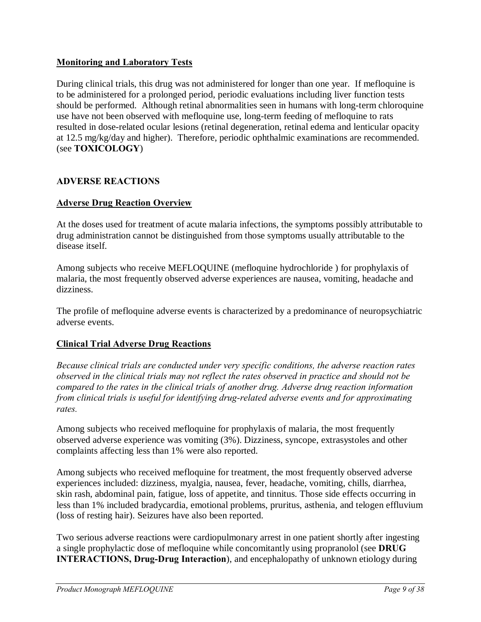### **Monitoring and Laboratory Tests**

During clinical trials, this drug was not administered for longer than one year. If mefloquine is to be administered for a prolonged period, periodic evaluations including liver function tests should be performed. Although retinal abnormalities seen in humans with long-term chloroquine use have not been observed with mefloquine use, long-term feeding of mefloquine to rats resulted in dose-related ocular lesions (retinal degeneration, retinal edema and lenticular opacity at 12.5 mg/kg/day and higher). Therefore, periodic ophthalmic examinations are recommended. (see **TOXICOLOGY**)

### **ADVERSE REACTIONS**

### **Adverse Drug Reaction Overview**

At the doses used for treatment of acute malaria infections, the symptoms possibly attributable to drug administration cannot be distinguished from those symptoms usually attributable to the disease itself.

Among subjects who receive MEFLOQUINE (mefloquine hydrochloride ) for prophylaxis of malaria, the most frequently observed adverse experiences are nausea, vomiting, headache and dizziness.

The profile of mefloquine adverse events is characterized by a predominance of neuropsychiatric adverse events.

### **Clinical Trial Adverse Drug Reactions**

*Because clinical trials are conducted under very specific conditions, the adverse reaction rates observed in the clinical trials may not reflect the rates observed in practice and should not be compared to the rates in the clinical trials of another drug. Adverse drug reaction information from clinical trials is useful for identifying drug-related adverse events and for approximating rates.*

Among subjects who received mefloquine for prophylaxis of malaria, the most frequently observed adverse experience was vomiting (3%). Dizziness, syncope, extrasystoles and other complaints affecting less than 1% were also reported.

Among subjects who received mefloquine for treatment, the most frequently observed adverse experiences included: dizziness, myalgia, nausea, fever, headache, vomiting, chills, diarrhea, skin rash, abdominal pain, fatigue, loss of appetite, and tinnitus. Those side effects occurring in less than 1% included bradycardia, emotional problems, pruritus, asthenia, and telogen effluvium (loss of resting hair). Seizures have also been reported.

<span id="page-8-0"></span>Two serious adverse reactions were cardiopulmonary arrest in one patient shortly after ingesting a single prophylactic dose of mefloquine while concomitantly using propranolol (see **DRUG INTERACTIONS, Drug-Drug Interaction**), and encephalopathy of unknown etiology during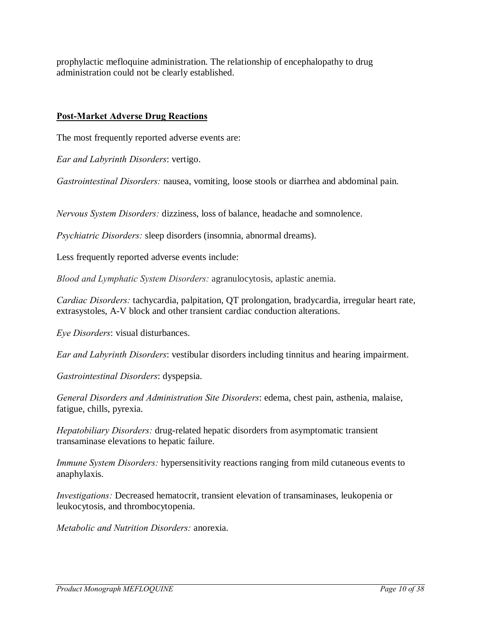prophylactic mefloquine administration. The relationship of encephalopathy to drug administration could not be clearly established.

# **Post-Market Adverse Drug Reactions**

The most frequently reported adverse events are:

*Ear and Labyrinth Disorders*: vertigo.

*Gastrointestinal Disorders:* nausea, vomiting, loose stools or diarrhea and abdominal pain.

*Nervous System Disorders:* dizziness, loss of balance, headache and somnolence.

*Psychiatric Disorders:* sleep disorders (insomnia, abnormal dreams).

Less frequently reported adverse events include:

*Blood and Lymphatic System Disorders:* agranulocytosis, aplastic anemia.

*Cardiac Disorders:* tachycardia, palpitation, QT prolongation, bradycardia, irregular heart rate, extrasystoles, A-V block and other transient cardiac conduction alterations.

*Eye Disorders*: visual disturbances.

*Ear and Labyrinth Disorders*: vestibular disorders including tinnitus and hearing impairment.

*Gastrointestinal Disorders*: dyspepsia.

*General Disorders and Administration Site Disorders*: edema, chest pain, asthenia, malaise, fatigue, chills, pyrexia.

*Hepatobiliary Disorders:* drug-related hepatic disorders from asymptomatic transient transaminase elevations to hepatic failure.

*Immune System Disorders:* hypersensitivity reactions ranging from mild cutaneous events to anaphylaxis.

*Investigations:* Decreased hematocrit, transient elevation of transaminases, leukopenia or leukocytosis, and thrombocytopenia.

*Metabolic and Nutrition Disorders:* anorexia.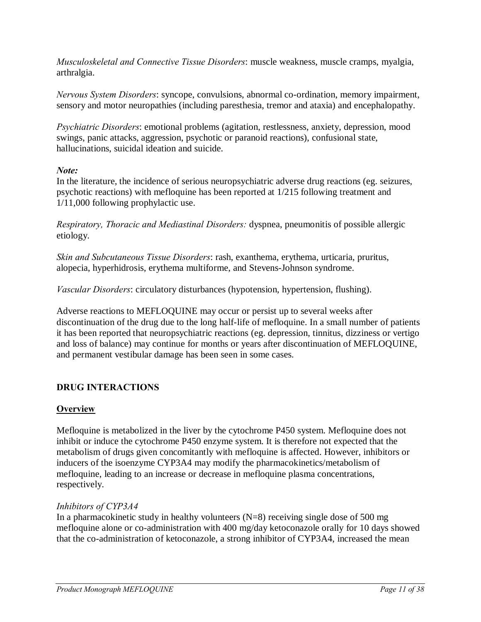*Musculoskeletal and Connective Tissue Disorders*: muscle weakness, muscle cramps, myalgia, arthralgia.

*Nervous System Disorders*: syncope, convulsions, abnormal co-ordination, memory impairment, sensory and motor neuropathies (including paresthesia, tremor and ataxia) and encephalopathy.

*Psychiatric Disorders*: emotional problems (agitation, restlessness, anxiety, depression, mood swings, panic attacks, aggression, psychotic or paranoid reactions), confusional state, hallucinations, suicidal ideation and suicide.

### *Note:*

In the literature, the incidence of serious neuropsychiatric adverse drug reactions (eg. seizures, psychotic reactions) with mefloquine has been reported at 1/215 following treatment and 1/11,000 following prophylactic use.

*Respiratory, Thoracic and Mediastinal Disorders:* dyspnea, pneumonitis of possible allergic etiology.

*Skin and Subcutaneous Tissue Disorders*: rash, exanthema, erythema, urticaria, pruritus, alopecia, hyperhidrosis, erythema multiforme, and Stevens-Johnson syndrome.

*Vascular Disorders*: circulatory disturbances (hypotension, hypertension, flushing).

Adverse reactions to MEFLOQUINE may occur or persist up to several weeks after discontinuation of the drug due to the long half-life of mefloquine. In a small number of patients it has been reported that neuropsychiatric reactions (eg. depression, tinnitus, dizziness or vertigo and loss of balance) may continue for months or years after discontinuation of MEFLOQUINE, and permanent vestibular damage has been seen in some cases.

# **DRUG INTERACTIONS**

# **Overview**

Mefloquine is metabolized in the liver by the cytochrome P450 system. Mefloquine does not inhibit or induce the cytochrome P450 enzyme system. It is therefore not expected that the metabolism of drugs given concomitantly with mefloquine is affected. However, inhibitors or inducers of the isoenzyme CYP3A4 may modify the pharmacokinetics/metabolism of mefloquine, leading to an increase or decrease in mefloquine plasma concentrations, respectively.

# *Inhibitors of CYP3A4*

<span id="page-10-0"></span>In a pharmacokinetic study in healthy volunteers  $(N=8)$  receiving single dose of 500 mg mefloquine alone or co-administration with 400 mg/day ketoconazole orally for 10 days showed that the co-administration of ketoconazole, a strong inhibitor of CYP3A4, increased the mean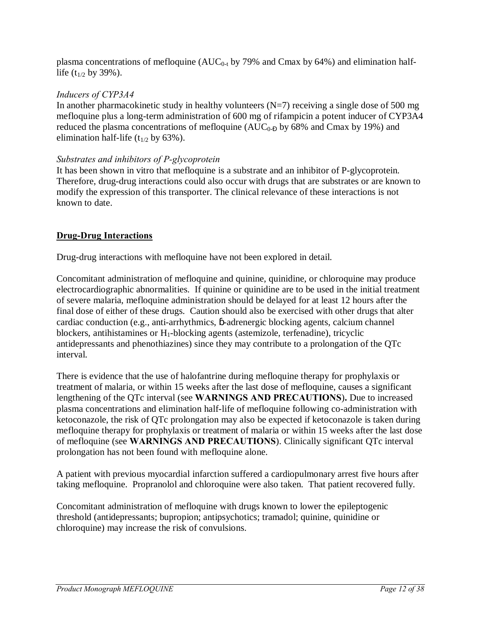plasma concentrations of mefloquine ( $AUC_{0-t}$  by 79% and Cmax by 64%) and elimination halflife  $(t_{1/2}$  by 39%).

# *Inducers of CYP3A4*

In another pharmacokinetic study in healthy volunteers  $(N=7)$  receiving a single dose of 500 mg mefloquine plus a long-term administration of 600 mg of rifampicin a potent inducer of CYP3A4 reduced the plasma concentrations of mefloquine ( $AUC_{0.6}$  by 68% and Cmax by 19%) and elimination half-life ( $t_{1/2}$  by 63%).

# *Substrates and inhibitors of P-glycoprotein*

It has been shown in vitro that mefloquine is a substrate and an inhibitor of P-glycoprotein. Therefore, drug-drug interactions could also occur with drugs that are substrates or are known to modify the expression of this transporter. The clinical relevance of these interactions is not known to date.

# **Drug-Drug Interactions**

Drug-drug interactions with mefloquine have not been explored in detail.

Concomitant administration of mefloquine and quinine, quinidine, or chloroquine may produce electrocardiographic abnormalities. If quinine or quinidine are to be used in the initial treatment of severe malaria, mefloquine administration should be delayed for at least 12 hours after the final dose of either of these drugs. Caution should also be exercised with other drugs that alter cardiac conduction (e.g., anti-arrhythmics, -adrenergic blocking agents, calcium channel blockers, antihistamines or  $H_1$ -blocking agents (astemizole, terfenadine), tricyclic antidepressants and phenothiazines) since they may contribute to a prolongation of the QTc interval.

There is evidence that the use of halofantrine during mefloquine therapy for prophylaxis or treatment of malaria, or within 15 weeks after the last dose of mefloquine, causes a significant lengthening of the QTc interval (see **WARNINGS AND PRECAUTIONS**)**.** Due to increased plasma concentrations and elimination half-life of mefloquine following co-administration with ketoconazole, the risk of QTc prolongation may also be expected if ketoconazole is taken during mefloquine therapy for prophylaxis or treatment of malaria or within 15 weeks after the last dose of mefloquine (see **WARNINGS AND PRECAUTIONS**). Clinically significant QTc interval prolongation has not been found with mefloquine alone.

A patient with previous myocardial infarction suffered a cardiopulmonary arrest five hours after taking mefloquine. Propranolol and chloroquine were also taken. That patient recovered fully.

Concomitant administration of mefloquine with drugs known to lower the epileptogenic threshold (antidepressants; bupropion; antipsychotics; tramadol; quinine, quinidine or chloroquine) may increase the risk of convulsions.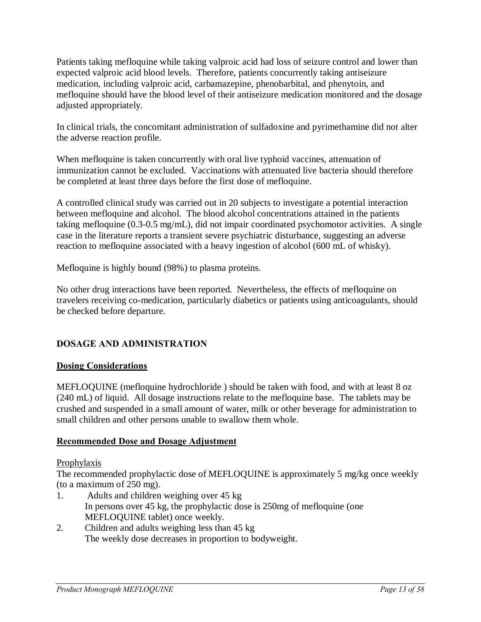Patients taking mefloquine while taking valproic acid had loss of seizure control and lower than expected valproic acid blood levels. Therefore, patients concurrently taking antiseizure medication, including valproic acid, carbamazepine, phenobarbital, and phenytoin, and mefloquine should have the blood level of their antiseizure medication monitored and the dosage adjusted appropriately.

In clinical trials, the concomitant administration of sulfadoxine and pyrimethamine did not alter the adverse reaction profile.

When mefloquine is taken concurrently with oral live typhoid vaccines, attenuation of immunization cannot be excluded. Vaccinations with attenuated live bacteria should therefore be completed at least three days before the first dose of mefloquine.

A controlled clinical study was carried out in 20 subjects to investigate a potential interaction between mefloquine and alcohol. The blood alcohol concentrations attained in the patients taking mefloquine (0.3-0.5 mg/mL), did not impair coordinated psychomotor activities. A single case in the literature reports a transient severe psychiatric disturbance, suggesting an adverse reaction to mefloquine associated with a heavy ingestion of alcohol (600 mL of whisky).

Mefloquine is highly bound (98%) to plasma proteins.

No other drug interactions have been reported. Nevertheless, the effects of mefloquine on travelers receiving co-medication, particularly diabetics or patients using anticoagulants, should be checked before departure.

# **DOSAGE AND ADMINISTRATION**

### **Dosing Considerations**

MEFLOQUINE (mefloquine hydrochloride ) should be taken with food, and with at least 8 oz (240 mL) of liquid. All dosage instructions relate to the mefloquine base. The tablets may be crushed and suspended in a small amount of water, milk or other beverage for administration to small children and other persons unable to swallow them whole.

### **Recommended Dose and Dosage Adjustment**

### Prophylaxis

The recommended prophylactic dose of MEFLOQUINE is approximately 5 mg/kg once weekly (to a maximum of 250 mg).

- 1. Adults and children weighing over 45 kg In persons over 45 kg, the prophylactic dose is 250mg of mefloquine (one MEFLOQUINE tablet) once weekly.
- <span id="page-12-0"></span>2. Children and adults weighing less than 45 kg The weekly dose decreases in proportion to bodyweight.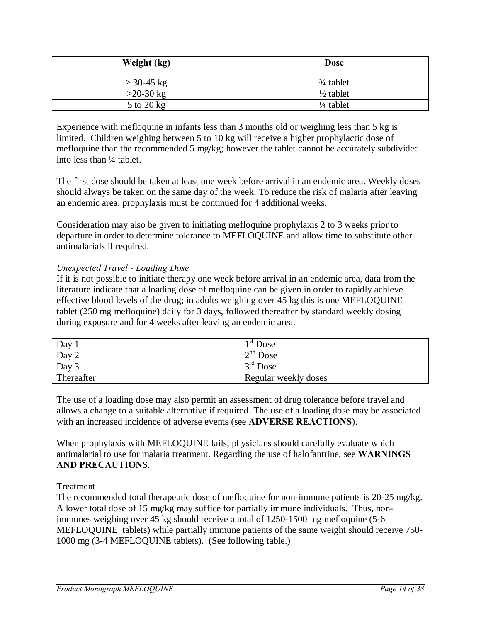| Weight (kg)  | <b>Dose</b>          |
|--------------|----------------------|
| $>$ 30-45 kg | $\frac{3}{4}$ tablet |
| $>20-30$ kg  | $\frac{1}{2}$ tablet |
| 5 to 20 kg   | $\frac{1}{4}$ tablet |

Experience with mefloquine in infants less than 3 months old or weighing less than 5 kg is limited. Children weighing between 5 to 10 kg will receive a higher prophylactic dose of mefloquine than the recommended 5 mg/kg; however the tablet cannot be accurately subdivided into less than ¼ tablet.

The first dose should be taken at least one week before arrival in an endemic area. Weekly doses should always be taken on the same day of the week. To reduce the risk of malaria after leaving an endemic area, prophylaxis must be continued for 4 additional weeks.

Consideration may also be given to initiating mefloquine prophylaxis 2 to 3 weeks prior to departure in order to determine tolerance to MEFLOQUINE and allow time to substitute other antimalarials if required.

### *Unexpected Travel - Loading Dose*

If it is not possible to initiate therapy one week before arrival in an endemic area, data from the literature indicate that a loading dose of mefloquine can be given in order to rapidly achieve effective blood levels of the drug; in adults weighing over 45 kg this is one MEFLOQUINE tablet (250 mg mefloquine) daily for 3 days, followed thereafter by standard weekly dosing during exposure and for 4 weeks after leaving an endemic area.

| Day 1      | $\rightarrow$ <sup>st</sup> Dose |
|------------|----------------------------------|
| Day 2      | $\gamma^{\text{nd}}$ Dose        |
| Day 3      | $\overline{C}^{\text{rd}}$ Dose  |
| Thereafter | Regular weekly doses             |

The use of a loading dose may also permit an assessment of drug tolerance before travel and allows a change to a suitable alternative if required. The use of a loading dose may be associated with an increased incidence of adverse events (see **ADVERSE REACTIONS**).

When prophylaxis with MEFLOQUINE fails, physicians should carefully evaluate which antimalarial to use for malaria treatment. Regarding the use of halofantrine, see **WARNINGS AND PRECAUTION**S.

### Treatment

The recommended total therapeutic dose of mefloquine for non-immune patients is 20-25 mg/kg. A lower total dose of 15 mg/kg may suffice for partially immune individuals. Thus, nonimmunes weighing over 45 kg should receive a total of 1250-1500 mg mefloquine (5-6 MEFLOQUINE tablets) while partially immune patients of the same weight should receive 750- 1000 mg (3-4 MEFLOQUINE tablets). (See following table.)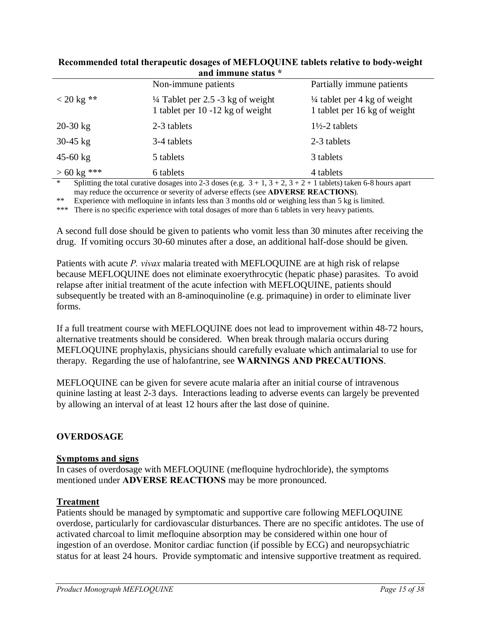| and numeric status    |                                                                                  |                                                                         |  |
|-----------------------|----------------------------------------------------------------------------------|-------------------------------------------------------------------------|--|
|                       | Non-immune patients                                                              | Partially immune patients                                               |  |
| $< 20 \text{ kg}$ **  | $\frac{1}{4}$ Tablet per 2.5 -3 kg of weight<br>1 tablet per 10 -12 kg of weight | $\frac{1}{4}$ tablet per 4 kg of weight<br>1 tablet per 16 kg of weight |  |
| $20-30$ kg            | 2-3 tablets                                                                      | $1\frac{1}{2}$ -2 tablets                                               |  |
| $30-45$ kg            | 3-4 tablets                                                                      | 2-3 tablets                                                             |  |
| $45 - 60$ kg          | 5 tablets                                                                        | 3 tablets                                                               |  |
| $> 60 \text{ kg}$ *** | 6 tablets                                                                        | 4 tablets                                                               |  |

#### **Recommended total therapeutic dosages of MEFLOQUINE tablets relative to body-weight and immune status \***

\* Splitting the total curative dosages into 2-3 doses (e.g.  $3 + 1$ ,  $3 + 2$ ,  $3 + 2 + 1$  tablets) taken 6-8 hours apart may reduce the occurrence or severity of adverse effects (see **ADVERSE REACTIONS**).

\*\* Experience with mefloquine in infants less than 3 months old or weighing less than 5 kg is limited.

\*\*\* There is no specific experience with total dosages of more than 6 tablets in very heavy patients.

A second full dose should be given to patients who vomit less than 30 minutes after receiving the drug. If vomiting occurs 30-60 minutes after a dose, an additional half-dose should be given.

Patients with acute *P. vivax* malaria treated with MEFLOQUINE are at high risk of relapse because MEFLOQUINE does not eliminate exoerythrocytic (hepatic phase) parasites. To avoid relapse after initial treatment of the acute infection with MEFLOQUINE, patients should subsequently be treated with an 8-aminoquinoline (e.g. primaquine) in order to eliminate liver forms.

If a full treatment course with MEFLOQUINE does not lead to improvement within 48-72 hours, alternative treatments should be considered. When break through malaria occurs during MEFLOQUINE prophylaxis, physicians should carefully evaluate which antimalarial to use for therapy. Regarding the use of halofantrine, see **WARNINGS AND PRECAUTIONS**.

MEFLOQUINE can be given for severe acute malaria after an initial course of intravenous quinine lasting at least 2-3 days. Interactions leading to adverse events can largely be prevented by allowing an interval of at least 12 hours after the last dose of quinine.

### **OVERDOSAGE**

#### **Symptoms and signs**

In cases of overdosage with MEFLOQUINE (mefloquine hydrochloride), the symptoms mentioned under **ADVERSE REACTIONS** may be more pronounced.

#### **Treatment**

<span id="page-14-0"></span>Patients should be managed by symptomatic and supportive care following MEFLOQUINE overdose, particularly for cardiovascular disturbances. There are no specific antidotes. The use of activated charcoal to limit mefloquine absorption may be considered within one hour of ingestion of an overdose. Monitor cardiac function (if possible by ECG) and neuropsychiatric status for at least 24 hours. Provide symptomatic and intensive supportive treatment as required.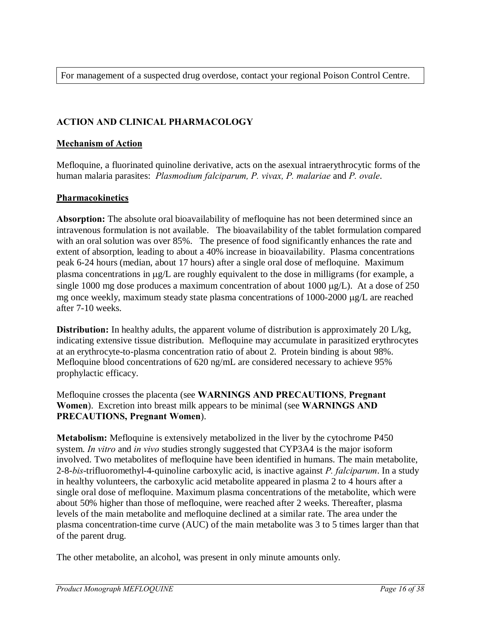For management of a suspected drug overdose, contact your regional Poison Control Centre.

# **ACTION AND CLINICAL PHARMACOLOGY**

### **Mechanism of Action**

Mefloquine, a fluorinated quinoline derivative, acts on the asexual intraerythrocytic forms of the human malaria parasites: *Plasmodium falciparum, P. vivax, P. malariae* and *P. ovale*.

### **Pharmacokinetics**

**Absorption:** The absolute oral bioavailability of mefloquine has not been determined since an intravenous formulation is not available. The bioavailability of the tablet formulation compared with an oral solution was over 85%. The presence of food significantly enhances the rate and extent of absorption, leading to about a 40% increase in bioavailability. Plasma concentrations peak 6-24 hours (median, about 17 hours) after a single oral dose of mefloquine. Maximum plasma concentrations in  $\mu$ g/L are roughly equivalent to the dose in milligrams (for example, a single 1000 mg dose produces a maximum concentration of about 1000  $\mu$ g/L). At a dose of 250 mg once weekly, maximum steady state plasma concentrations of  $1000-2000 \mu g/L$  are reached after 7-10 weeks.

**Distribution:** In healthy adults, the apparent volume of distribution is approximately 20 L/kg, indicating extensive tissue distribution. Mefloquine may accumulate in parasitized erythrocytes at an erythrocyte-to-plasma concentration ratio of about 2. Protein binding is about 98%. Mefloquine blood concentrations of 620 ng/mL are considered necessary to achieve 95% prophylactic efficacy.

Mefloquine crosses the placenta (see **WARNINGS AND PRECAUTIONS**, **Pregnant Women**). Excretion into breast milk appears to be minimal (see **WARNINGS AND PRECAUTIONS, Pregnant Women**).

**Metabolism:** Mefloquine is extensively metabolized in the liver by the cytochrome P450 system. *In vitro* and *in vivo* studies strongly suggested that CYP3A4 is the major isoform involved. Two metabolites of mefloquine have been identified in humans. The main metabolite, 2-8-*bis*-trifluoromethyl-4-quinoline carboxylic acid, is inactive against *P. falciparum*. In a study in healthy volunteers, the carboxylic acid metabolite appeared in plasma 2 to 4 hours after a single oral dose of mefloquine. Maximum plasma concentrations of the metabolite, which were about 50% higher than those of mefloquine, were reached after 2 weeks. Thereafter, plasma levels of the main metabolite and mefloquine declined at a similar rate. The area under the plasma concentration-time curve (AUC) of the main metabolite was 3 to 5 times larger than that of the parent drug.

<span id="page-15-0"></span>The other metabolite, an alcohol, was present in only minute amounts only.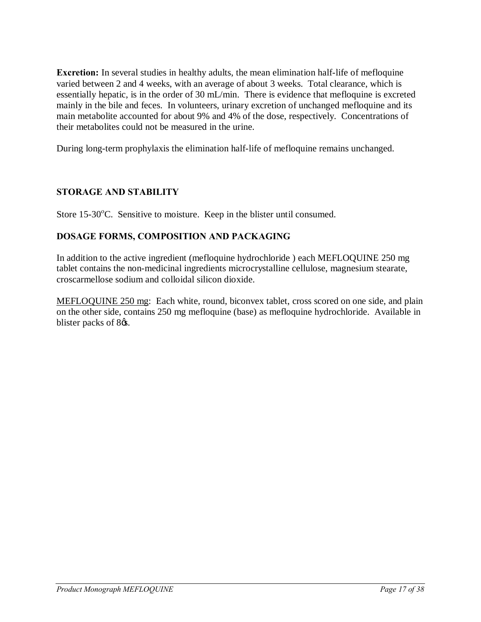**Excretion:** In several studies in healthy adults, the mean elimination half-life of mefloquine varied between 2 and 4 weeks, with an average of about 3 weeks. Total clearance, which is essentially hepatic, is in the order of 30 mL/min. There is evidence that mefloquine is excreted mainly in the bile and feces. In volunteers, urinary excretion of unchanged mefloquine and its main metabolite accounted for about 9% and 4% of the dose, respectively. Concentrations of their metabolites could not be measured in the urine.

During long-term prophylaxis the elimination half-life of mefloquine remains unchanged.

### **STORAGE AND STABILITY**

Store 15-30°C. Sensitive to moisture. Keep in the blister until consumed.

### **DOSAGE FORMS, COMPOSITION AND PACKAGING**

In addition to the active ingredient (mefloquine hydrochloride ) each MEFLOQUINE 250 mg tablet contains the non-medicinal ingredients microcrystalline cellulose, magnesium stearate, croscarmellose sodium and colloidal silicon dioxide.

<span id="page-16-1"></span><span id="page-16-0"></span>MEFLOQUINE 250 mg: Each white, round, biconvex tablet, cross scored on one side, and plain on the other side, contains 250 mg mefloquine (base) as mefloquine hydrochloride. Available in blister packs of 8 $\alpha$ .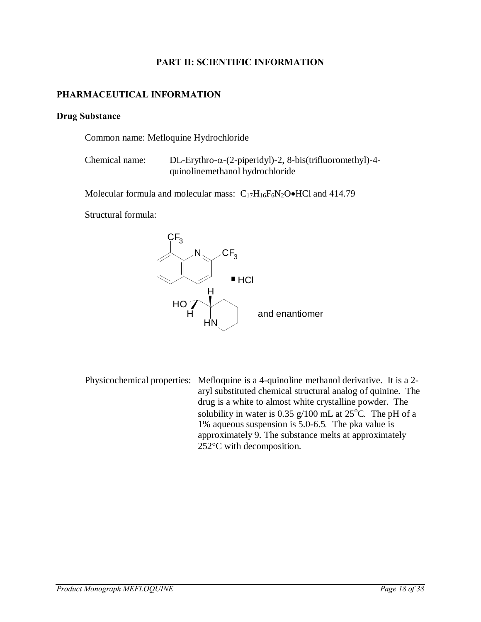### **PART II: SCIENTIFIC INFORMATION**

### **PHARMACEUTICAL INFORMATION**

#### **Drug Substance**

Common name: Mefloquine Hydrochloride

Chemical name:  $DL-Exythro-\alpha-(2-piperidyl)-2$ , 8-bis(trifluoromethyl)-4quinolinemethanol hydrochloride

Molecular formula and molecular mass:  $C_{17}H_{16}F_6N_2O\bullet HCl$  and 414.79

Structural formula:



<span id="page-17-0"></span>Physicochemical properties: Mefloquine is a 4-quinoline methanol derivative. It is a 2 aryl substituted chemical structural analog of quinine. The drug is a white to almost white crystalline powder. The solubility in water is 0.35 g/100 mL at 25<sup>o</sup>C. The pH of a 1% aqueous suspension is 5.0-6.5*.* The pka value is approximately 9. The substance melts at approximately 252°C with decomposition.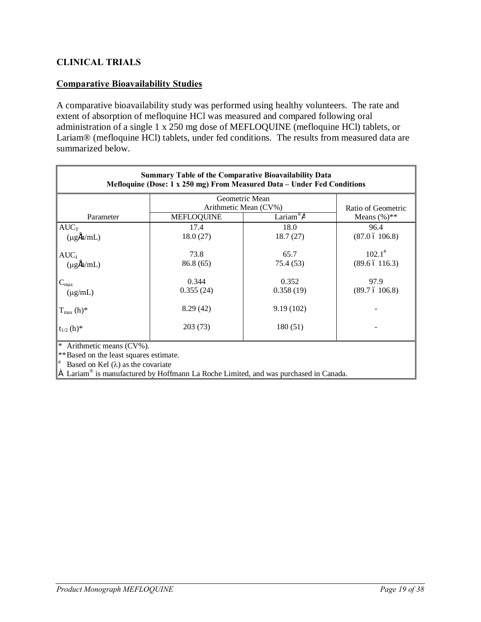# **CLINICAL TRIALS**

### **Comparative Bioavailability Studies**

A comparative bioavailability study was performed using healthy volunteers. The rate and extent of absorption of mefloquine HCl was measured and compared following oral administration of a single 1 x 250 mg dose of MEFLOQUINE (mefloquine HCl) tablets, or Lariam® (mefloquine HCl) tablets, under fed conditions. The results from measured data are summarized below.

<span id="page-18-0"></span>

| <b>Summary Table of the Comparative Bioavailability Data</b><br>Mefloquine (Dose: 1 x 250 mg) From Measured Data - Under Fed Conditions |                       |                    |                               |  |
|-----------------------------------------------------------------------------------------------------------------------------------------|-----------------------|--------------------|-------------------------------|--|
|                                                                                                                                         | Geometric Mean        |                    |                               |  |
|                                                                                                                                         | Arithmetic Mean (CV%) |                    | Ratio of Geometric            |  |
| Parameter                                                                                                                               | <b>MEFLOQUINE</b>     | Lariam® $\ddot{A}$ | Means $(\%)^{**}$             |  |
| $AUC_T$                                                                                                                                 | 17.4                  | 18.0               | 96.4                          |  |
| $(\mu g \hat{H}/mL)$                                                                                                                    | 18.0(27)              | 18.7(27)           | $(87.0 \t6 106.8)$            |  |
| $AUC_I$<br>$(\mu g \hat{H}/mL)$                                                                                                         | 73.8<br>86.8 (65)     | 65.7<br>75.4(53)   | $102.1^*$<br>$(89.6\ 6116.3)$ |  |
| $C_{\text{max}}$                                                                                                                        | 0.344                 | 0.352              | 97.9                          |  |
| $(\mu g/mL)$                                                                                                                            | 0.355(24)             | 0.358(19)          | (89.7 6 106.8)                |  |
| $T_{\text{max}}$ (h)*                                                                                                                   | 8.29(42)              | 9.19(102)          |                               |  |
| $t_{1/2}$ (h)*                                                                                                                          | 203 (73)              | 180 (51)           |                               |  |
| * Arithmetic means (CV%).                                                                                                               |                       |                    |                               |  |
| ** Based on the least squares estimate.                                                                                                 |                       |                    |                               |  |
| Based on Kel $(\lambda)$ as the covariate                                                                                               |                       |                    |                               |  |
| $\ddot{A}$ Lariam <sup>®</sup> is manufactured by Hoffmann La Roche Limited, and was purchased in Canada.                               |                       |                    |                               |  |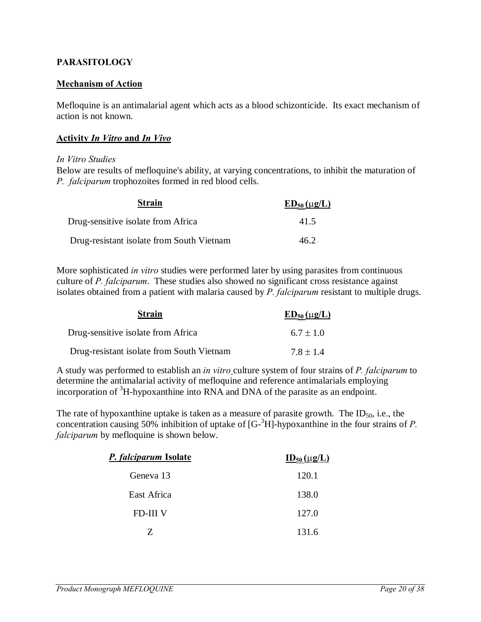### **PARASITOLOGY**

#### **Mechanism of Action**

Mefloquine is an antimalarial agent which acts as a blood schizonticide. Its exact mechanism of action is not known.

#### **Activity** *In Vitro* **and** *In Vivo*

#### *In Vitro Studies*

Below are results of mefloquine's ability, at varying concentrations, to inhibit the maturation of *P. falciparum* trophozoites formed in red blood cells.

| <b>Strain</b>                             | $ED_{50}(\mu g/L)$ |
|-------------------------------------------|--------------------|
| Drug-sensitive isolate from Africa        | 41.5               |
| Drug-resistant isolate from South Vietnam | 46.2               |

More sophisticated *in vitro* studies were performed later by using parasites from continuous culture of *P. falciparum*. These studies also showed no significant cross resistance against isolates obtained from a patient with malaria caused by *P. falciparum* resistant to multiple drugs.

| <b>Strain</b>                             | $ED_{50}(\mu g/L)$ |
|-------------------------------------------|--------------------|
| Drug-sensitive isolate from Africa        | $6.7 + 1.0$        |
| Drug-resistant isolate from South Vietnam | $7.8 + 1.4$        |

A study was performed to establish an *in vitro* culture system of four strains of *P. falciparum* to determine the antimalarial activity of mefloquine and reference antimalarials employing incorporation of  ${}^{3}$ H-hypoxanthine into RNA and DNA of the parasite as an endpoint.

The rate of hypoxanthine uptake is taken as a measure of parasite growth. The  $ID_{50}$ , i.e., the concentration causing 50% inhibition of uptake of [G-3 H]-hypoxanthine in the four strains of *P. falciparum* by mefloquine is shown below.

<span id="page-19-0"></span>

| P. falciparum Isolate | $\underline{\text{ID}}_{50}(\mu\text{g/L})$ |
|-----------------------|---------------------------------------------|
| Geneva 13             | 120.1                                       |
| East Africa           | 138.0                                       |
| <b>FD-III V</b>       | 127.0                                       |
| 7                     | 131.6                                       |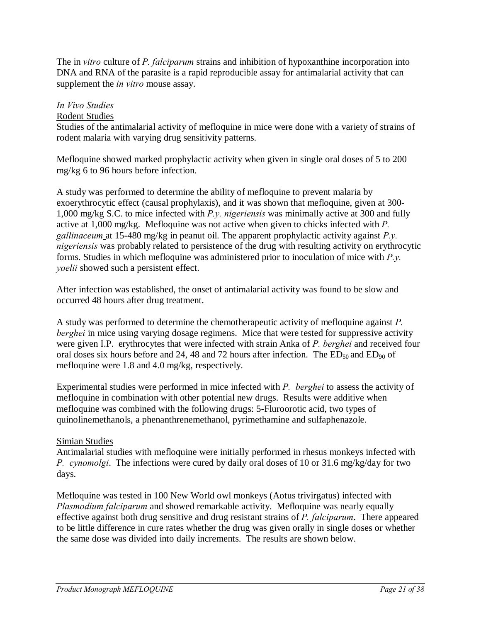The in *vitro* culture of *P. falciparum* strains and inhibition of hypoxanthine incorporation into DNA and RNA of the parasite is a rapid reproducible assay for antimalarial activity that can supplement the *in vitro* mouse assay.

### *In Vivo Studies*

### Rodent Studies

Studies of the antimalarial activity of mefloquine in mice were done with a variety of strains of rodent malaria with varying drug sensitivity patterns.

Mefloquine showed marked prophylactic activity when given in single oral doses of 5 to 200 mg/kg 6 to 96 hours before infection.

A study was performed to determine the ability of mefloquine to prevent malaria by exoerythrocytic effect (causal prophylaxis), and it was shown that mefloquine, given at 300- 1,000 mg/kg S.C. to mice infected with *P.y. nigeriensis* was minimally active at 300 and fully active at 1,000 mg/kg. Mefloquine was not active when given to chicks infected with *P. gallinaceum* at 15-480 mg/kg in peanut oil. The apparent prophylactic activity against *P.y. nigeriensis* was probably related to persistence of the drug with resulting activity on erythrocytic forms. Studies in which mefloquine was administered prior to inoculation of mice with *P.y. yoelii* showed such a persistent effect.

After infection was established, the onset of antimalarial activity was found to be slow and occurred 48 hours after drug treatment.

A study was performed to determine the chemotherapeutic activity of mefloquine against *P. berghei* in mice using varying dosage regimens. Mice that were tested for suppressive activity were given I.P. erythrocytes that were infected with strain Anka of *P. berghei* and received four oral doses six hours before and 24, 48 and 72 hours after infection. The  $ED_{50}$  and  $ED_{90}$  of mefloquine were 1.8 and 4.0 mg/kg, respectively.

Experimental studies were performed in mice infected with *P. berghei* to assess the activity of mefloquine in combination with other potential new drugs. Results were additive when mefloquine was combined with the following drugs: 5-Fluroorotic acid, two types of quinolinemethanols, a phenanthrenemethanol, pyrimethamine and sulfaphenazole.

# Simian Studies

Antimalarial studies with mefloquine were initially performed in rhesus monkeys infected with *P. cynomolgi*. The infections were cured by daily oral doses of 10 or 31.6 mg/kg/day for two days.

Mefloquine was tested in 100 New World owl monkeys (Aotus trivirgatus) infected with *Plasmodium falciparum* and showed remarkable activity. Mefloquine was nearly equally effective against both drug sensitive and drug resistant strains of *P. falciparum*. There appeared to be little difference in cure rates whether the drug was given orally in single doses or whether the same dose was divided into daily increments. The results are shown below.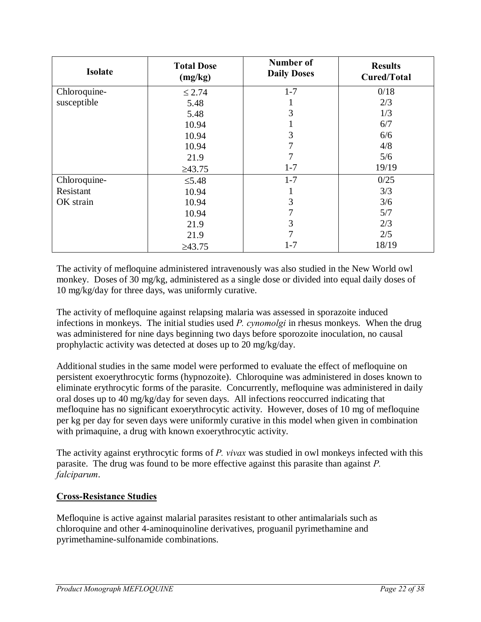| <b>Isolate</b> | <b>Total Dose</b><br>(mg/kg) | Number of<br><b>Daily Doses</b> | <b>Results</b><br>Cured/Total |
|----------------|------------------------------|---------------------------------|-------------------------------|
| Chloroquine-   | $\leq$ 2.74                  | $1 - 7$                         | 0/18                          |
| susceptible    | 5.48                         |                                 | 2/3                           |
|                | 5.48                         | 3                               | 1/3                           |
|                | 10.94                        |                                 | 6/7                           |
|                | 10.94                        | 3                               | 6/6                           |
|                | 10.94                        | 7                               | 4/8                           |
|                | 21.9                         |                                 | 5/6                           |
|                | $\geq 43.75$                 | $1 - 7$                         | 19/19                         |
| Chloroquine-   | $\leq$ 5.48                  | $1 - 7$                         | 0/25                          |
| Resistant      | 10.94                        |                                 | 3/3                           |
| OK strain      | 10.94                        | 3                               | 3/6                           |
|                | 10.94                        | 7                               | 5/7                           |
|                | 21.9                         | 3                               | 2/3                           |
|                | 21.9                         | 7                               | 2/5                           |
|                | $\geq 43.75$                 | $1 - 7$                         | 18/19                         |

The activity of mefloquine administered intravenously was also studied in the New World owl monkey. Doses of 30 mg/kg, administered as a single dose or divided into equal daily doses of 10 mg/kg/day for three days, was uniformly curative.

The activity of mefloquine against relapsing malaria was assessed in sporazoite induced infections in monkeys. The initial studies used *P. cynomolgi* in rhesus monkeys. When the drug was administered for nine days beginning two days before sporozoite inoculation, no causal prophylactic activity was detected at doses up to 20 mg/kg/day.

Additional studies in the same model were performed to evaluate the effect of mefloquine on persistent exoerythrocytic forms (hypnozoite). Chloroquine was administered in doses known to eliminate erythrocytic forms of the parasite. Concurrently, mefloquine was administered in daily oral doses up to 40 mg/kg/day for seven days. All infections reoccurred indicating that mefloquine has no significant exoerythrocytic activity. However, doses of 10 mg of mefloquine per kg per day for seven days were uniformly curative in this model when given in combination with primaquine, a drug with known exoerythrocytic activity.

The activity against erythrocytic forms of *P. vivax* was studied in owl monkeys infected with this parasite. The drug was found to be more effective against this parasite than against *P. falciparum*.

# **Cross-Resistance Studies**

Mefloquine is active against malarial parasites resistant to other antimalarials such as chloroquine and other 4-aminoquinoline derivatives, proguanil pyrimethamine and pyrimethamine-sulfonamide combinations.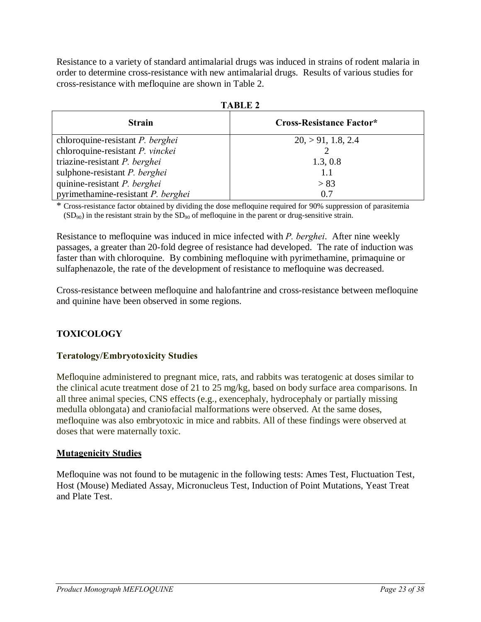Resistance to a variety of standard antimalarial drugs was induced in strains of rodent malaria in order to determine cross-resistance with new antimalarial drugs. Results of various studies for cross-resistance with mefloquine are shown in Table 2.

| тарыз 4                                 |                                 |  |  |  |
|-----------------------------------------|---------------------------------|--|--|--|
| <b>Strain</b>                           | <b>Cross-Resistance Factor*</b> |  |  |  |
| chloroquine-resistant <i>P. berghei</i> | 20, > 91, 1.8, 2.4              |  |  |  |
| chloroquine-resistant P. vinckei        |                                 |  |  |  |
| triazine-resistant $P$ . berghei        | 1.3, 0.8                        |  |  |  |
| sulphone-resistant P. berghei           | 1.1                             |  |  |  |
| quinine-resistant P. berghei            | > 83                            |  |  |  |
| pyrimethamine-resistant P. berghei      | 0.7                             |  |  |  |

**TABLE 2**

\* Cross-resistance factor obtained by dividing the dose mefloquine required for 90% suppression of parasitemia  $(SD_{90})$  in the resistant strain by the  $SD_{90}$  of mefloquine in the parent or drug-sensitive strain.

Resistance to mefloquine was induced in mice infected with *P. berghei*. After nine weekly passages, a greater than 20-fold degree of resistance had developed. The rate of induction was faster than with chloroquine. By combining mefloquine with pyrimethamine, primaquine or sulfaphenazole, the rate of the development of resistance to mefloquine was decreased.

Cross-resistance between mefloquine and halofantrine and cross-resistance between mefloquine and quinine have been observed in some regions.

# **TOXICOLOGY**

### **Teratology/Embryotoxicity Studies**

Mefloquine administered to pregnant mice, rats, and rabbits was teratogenic at doses similar to the clinical acute treatment dose of 21 to 25 mg/kg, based on body surface area comparisons. In all three animal species, CNS effects (e.g., exencephaly, hydrocephaly or partially missing medulla oblongata) and craniofacial malformations were observed. At the same doses, mefloquine was also embryotoxic in mice and rabbits. All of these findings were observed at doses that were maternally toxic.

### **Mutagenicity Studies**

<span id="page-22-0"></span>Mefloquine was not found to be mutagenic in the following tests: Ames Test, Fluctuation Test, Host (Mouse) Mediated Assay, Micronucleus Test, Induction of Point Mutations, Yeast Treat and Plate Test.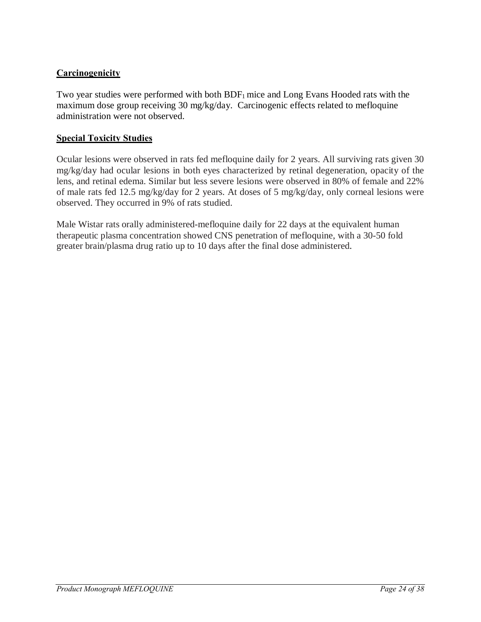# **Carcinogenicity**

Two year studies were performed with both  $BDF<sub>1</sub>$  mice and Long Evans Hooded rats with the maximum dose group receiving 30 mg/kg/day. Carcinogenic effects related to mefloquine administration were not observed.

### **Special Toxicity Studies**

Ocular lesions were observed in rats fed mefloquine daily for 2 years. All surviving rats given 30 mg/kg/day had ocular lesions in both eyes characterized by retinal degeneration, opacity of the lens, and retinal edema. Similar but less severe lesions were observed in 80% of female and 22% of male rats fed 12.5 mg/kg/day for 2 years. At doses of 5 mg/kg/day, only corneal lesions were observed. They occurred in 9% of rats studied.

Male Wistar rats orally administered-mefloquine daily for 22 days at the equivalent human therapeutic plasma concentration showed CNS penetration of mefloquine, with a 30-50 fold greater brain/plasma drug ratio up to 10 days after the final dose administered.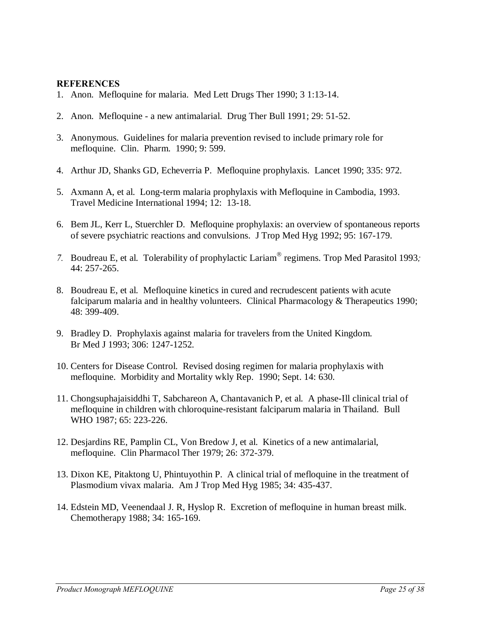#### **REFERENCES**

- 1. Anon. Mefloquine for malaria. Med Lett Drugs Ther 1990; 3 1:13-14.
- 2. Anon. Mefloquine a new antimalarial. Drug Ther Bull 1991; 29: 51-52.
- 3. Anonymous. Guidelines for malaria prevention revised to include primary role for mefloquine. Clin. Pharm. 1990; 9: 599.
- 4. Arthur JD, Shanks GD, Echeverria P. Mefloquine prophylaxis. Lancet 1990; 335: 972.
- 5. Axmann A, et al. Long-term malaria prophylaxis with Mefloquine in Cambodia, 1993. Travel Medicine International 1994; 12: 13-18.
- 6. Bem JL, Kerr L, Stuerchler D. Mefloquine prophylaxis: an overview of spontaneous reports of severe psychiatric reactions and convulsions. J Trop Med Hyg 1992; 95: 167-179.
- *7.* Boudreau E, et al. Tolerability of prophylactic Lariam" regimens. Trop Med Parasitol 1993*;*  44: 257-265.
- 8. Boudreau E, et al. Mefloquine kinetics in cured and recrudescent patients with acute falciparum malaria and in healthy volunteers. Clinical Pharmacology & Therapeutics 1990; 48: 399-409.
- 9. Bradley D. Prophylaxis against malaria for travelers from the United Kingdom. Br Med J 1993; 306: 1247-1252.
- 10. Centers for Disease Control. Revised dosing regimen for malaria prophylaxis with mefloquine. Morbidity and Mortality wkly Rep. 1990; Sept. 14: 630.
- 11. Chongsuphajaisiddhi T, Sabchareon A, Chantavanich P, et al. A phase-Ill clinical trial of mefloquine in children with chloroquine-resistant falciparum malaria in Thailand. Bull WHO 1987; 65: 223-226.
- 12. Desjardins RE, Pamplin CL, Von Bredow J, et al. Kinetics of a new antimalarial, mefloquine. Clin Pharmacol Ther 1979; 26: 372-379.
- 13. Dixon KE, Pitaktong U, Phintuyothin P. A clinical trial of mefloquine in the treatment of Plasmodium vivax malaria. Am J Trop Med Hyg 1985; 34: 435-437.
- <span id="page-24-0"></span>14. Edstein MD, Veenendaal J. R, Hyslop R. Excretion of mefloquine in human breast milk. Chemotherapy 1988; 34: 165-169.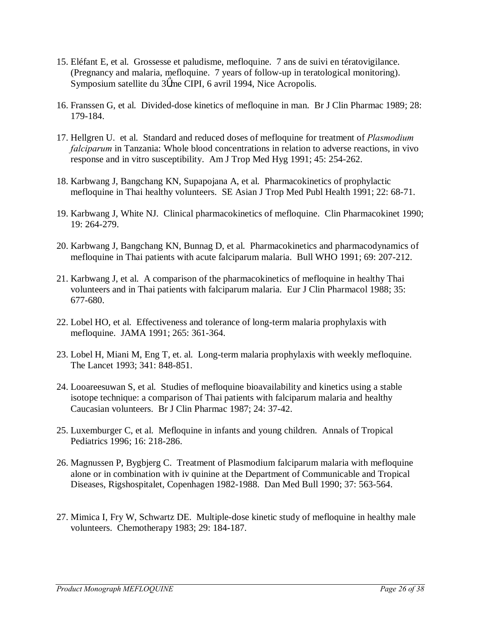- 15. Eléfant E, et al. Grossesse et paludisme, mefloquine. 7 ans de suivi en tératovigilance. (Pregnancy and malaria, mefloquine. 7 years of follow-up in teratological monitoring). Symposium satellite du 3 me CIPI, 6 avril 1994, Nice Acropolis.
- 16. Franssen G, et al. Divided-dose kinetics of mefloquine in man. Br J Clin Pharmac 1989; 28: 179-184.
- 17. Hellgren U. et al. Standard and reduced doses of mefloquine for treatment of *Plasmodium falciparum* in Tanzania: Whole blood concentrations in relation to adverse reactions, in vivo response and in vitro susceptibility. Am J Trop Med Hyg 1991; 45: 254-262.
- 18. Karbwang J, Bangchang KN, Supapojana A, et al. Pharmacokinetics of prophylactic mefloquine in Thai healthy volunteers. SE Asian J Trop Med Publ Health 1991; 22: 68-71.
- 19. Karbwang J, White NJ. Clinical pharmacokinetics of mefloquine. Clin Pharmacokinet 1990; 19: 264-279.
- 20. Karbwang J, Bangchang KN, Bunnag D, et al. Pharmacokinetics and pharmacodynamics of mefloquine in Thai patients with acute falciparum malaria. Bull WHO 1991; 69: 207-212.
- 21. Karbwang J, et al. A comparison of the pharmacokinetics of mefloquine in healthy Thai volunteers and in Thai patients with falciparum malaria. Eur J Clin Pharmacol 1988; 35: 677-680.
- 22. Lobel HO, et al. Effectiveness and tolerance of long-term malaria prophylaxis with mefloquine. JAMA 1991; 265: 361-364.
- 23. Lobel H, Miani M, Eng T, et. al. Long-term malaria prophylaxis with weekly mefloquine. The Lancet 1993; 341: 848-851.
- 24. Looareesuwan S, et al. Studies of mefloquine bioavailability and kinetics using a stable isotope technique: a comparison of Thai patients with falciparum malaria and healthy Caucasian volunteers. Br J Clin Pharmac 1987; 24: 37-42.
- 25. Luxemburger C, et al. Mefloquine in infants and young children. Annals of Tropical Pediatrics 1996; 16: 218-286.
- 26. Magnussen P, Bygbjerg C. Treatment of Plasmodium falciparum malaria with mefloquine alone or in combination with iv quinine at the Department of Communicable and Tropical Diseases, Rigshospitalet, Copenhagen 1982-1988. Dan Med Bull 1990; 37: 563-564.
- 27. Mimica I, Fry W, Schwartz DE. Multiple-dose kinetic study of mefloquine in healthy male volunteers. Chemotherapy 1983; 29: 184-187.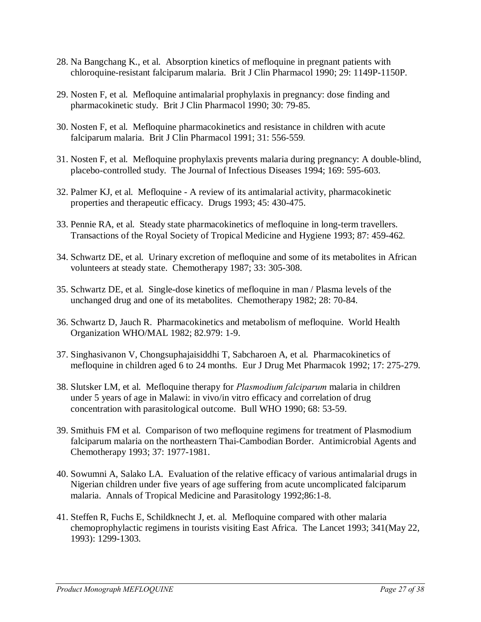- 28. Na Bangchang K., et al. Absorption kinetics of mefloquine in pregnant patients with chloroquine-resistant falciparum malaria. Brit J Clin Pharmacol 1990; 29: 1149P-1150P.
- 29. Nosten F, et al. Mefloquine antimalarial prophylaxis in pregnancy: dose finding and pharmacokinetic study. Brit J Clin Pharmacol 1990; 30: 79-85.
- 30. Nosten F, et al. Mefloquine pharmacokinetics and resistance in children with acute falciparum malaria. Brit J Clin Pharmacol 1991; 31: 556-559*.*
- 31. Nosten F, et al. Mefloquine prophylaxis prevents malaria during pregnancy: A double-blind, placebo-controlled study. The Journal of Infectious Diseases 1994; 169: 595-603.
- 32. Palmer KJ, et al. Mefloquine A review of its antimalarial activity, pharmacokinetic properties and therapeutic efficacy. Drugs 1993; 45: 430-475.
- 33. Pennie RA, et al. Steady state pharmacokinetics of mefloquine in long-term travellers. Transactions of the Royal Society of Tropical Medicine and Hygiene 1993; 87: 459-462*.*
- 34. Schwartz DE, et al. Urinary excretion of mefloquine and some of its metabolites in African volunteers at steady state. Chemotherapy 1987; 33: 305-308.
- 35. Schwartz DE, et al. Single-dose kinetics of mefloquine in man / Plasma levels of the unchanged drug and one of its metabolites. Chemotherapy 1982; 28: 70-84.
- 36. Schwartz D, Jauch R. Pharmacokinetics and metabolism of mefloquine. World Health Organization WHO/MAL 1982; 82.979: 1-9.
- 37. Singhasivanon V, Chongsuphajaisiddhi T, Sabcharoen A, et al. Pharmacokinetics of mefloquine in children aged 6 to 24 months. Eur J Drug Met Pharmacok 1992; 17: 275-279.
- 38. Slutsker LM, et al. Mefloquine therapy for *Plasmodium falciparum* malaria in children under 5 years of age in Malawi: in vivo/in vitro efficacy and correlation of drug concentration with parasitological outcome. Bull WHO 1990; 68: 53-59.
- 39. Smithuis FM et al. Comparison of two mefloquine regimens for treatment of Plasmodium falciparum malaria on the northeastern Thai-Cambodian Border. Antimicrobial Agents and Chemotherapy 1993; 37: 1977-1981.
- 40. Sowumni A, Salako LA. Evaluation of the relative efficacy of various antimalarial drugs in Nigerian children under five years of age suffering from acute uncomplicated falciparum malaria. Annals of Tropical Medicine and Parasitology 1992;86:1-8.
- 41. Steffen R, Fuchs E, Schildknecht J, et. al. Mefloquine compared with other malaria chemoprophylactic regimens in tourists visiting East Africa. The Lancet 1993; 341(May 22, 1993): 1299-1303.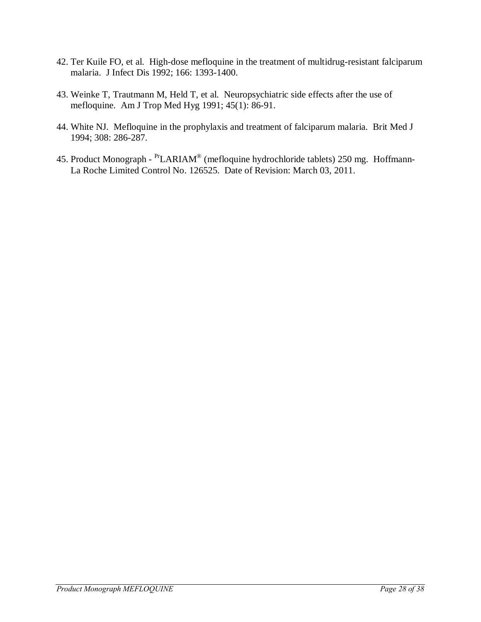- 42. Ter Kuile FO, et al. High-dose mefloquine in the treatment of multidrug-resistant falciparum malaria. J Infect Dis 1992; 166: 1393-1400.
- 43. Weinke T, Trautmann M, Held T, et al. Neuropsychiatric side effects after the use of mefloquine. Am J Trop Med Hyg 1991; 45(1): 86-91.
- 44. White NJ. Mefloquine in the prophylaxis and treatment of falciparum malaria. Brit Med J 1994; 308: 286-287.
- 45. Product Monograph PrLARIAM® (mefloquine hydrochloride tablets) 250 mg. Hoffmann-La Roche Limited Control No. 126525. Date of Revision: March 03, 2011.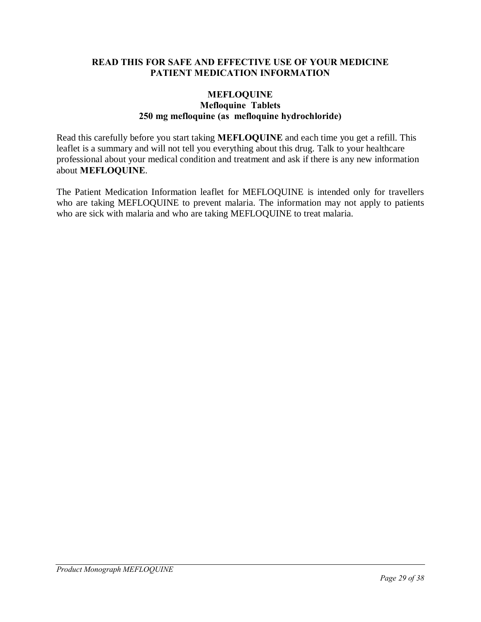#### **READ THIS FOR SAFE AND EFFECTIVE USE OF YOUR MEDICINE PATIENT MEDICATION INFORMATION**

#### **MEFLOQUINE Mefloquine Tablets 250 mg mefloquine (as mefloquine hydrochloride)**

Read this carefully before you start taking **MEFLOQUINE** and each time you get a refill. This leaflet is a summary and will not tell you everything about this drug. Talk to your healthcare professional about your medical condition and treatment and ask if there is any new information about **MEFLOQUINE**.

The Patient Medication Information leaflet for MEFLOQUINE is intended only for travellers who are taking MEFLOQUINE to prevent malaria. The information may not apply to patients who are sick with malaria and who are taking MEFLOQUINE to treat malaria.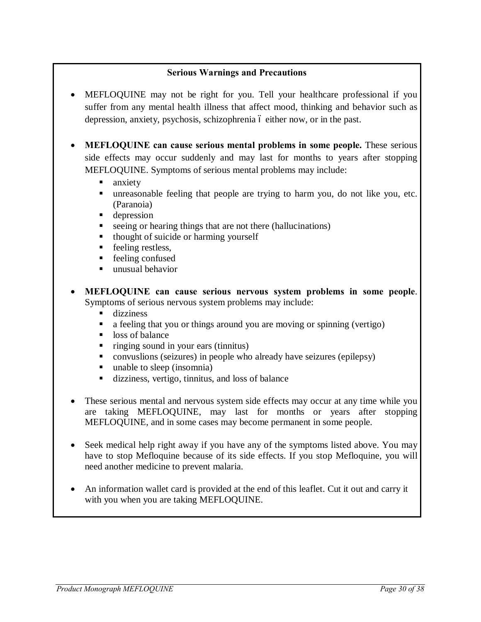### **Serious Warnings and Precautions**

- MEFLOQUINE may not be right for you. Tell your healthcare professional if you suffer from any mental health illness that affect mood, thinking and behavior such as depression, anxiety, psychosis, schizophrenia  $\acute{o}$  either now, or in the past.
- **MEFLOQUINE can cause serious mental problems in some people.** These serious side effects may occur suddenly and may last for months to years after stopping MEFLOQUINE. Symptoms of serious mental problems may include:
	- $\blacksquare$  anxiety
	- ß unreasonable feeling that people are trying to harm you, do not like you, etc. (Paranoia)
	- $\blacksquare$  depression
	- $\blacksquare$  seeing or hearing things that are not there (hallucinations)
	- $\blacksquare$  thought of suicide or harming yourself
	- $\blacksquare$  feeling restless,
	- $\blacksquare$  feeling confused
	- $\blacksquare$  unusual behavior
- · **MEFLOQUINE can cause serious nervous system problems in some people**. Symptoms of serious nervous system problems may include:
	- $\blacksquare$  dizziness
	- a feeling that you or things around you are moving or spinning (vertigo)
	- $\blacksquare$  loss of balance
	- $\blacksquare$  ringing sound in your ears (tinnitus)
	- convuslions (seizures) in people who already have seizures (epilepsy)
	- $\blacksquare$  unable to sleep (insomnia)
	- dizziness, vertigo, tinnitus, and loss of balance
- These serious mental and nervous system side effects may occur at any time while you are taking MEFLOQUINE, may last for months or years after stopping MEFLOQUINE, and in some cases may become permanent in some people.
- Seek medical help right away if you have any of the symptoms listed above. You may have to stop Mefloquine because of its side effects. If you stop Mefloquine, you will need another medicine to prevent malaria.
- An information wallet card is provided at the end of this leaflet. Cut it out and carry it with you when you are taking MEFLOQUINE.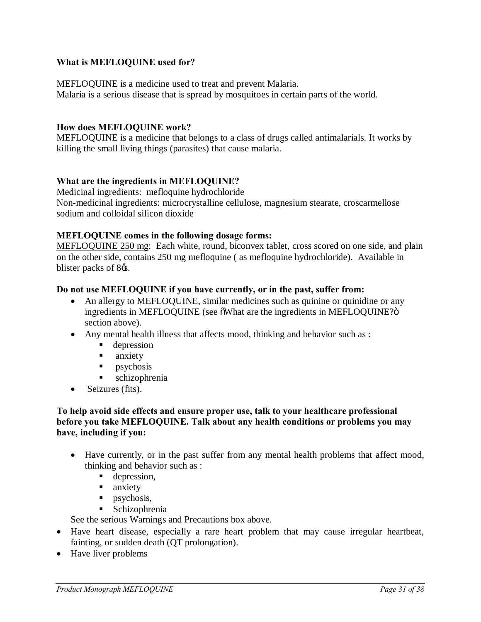### **What is MEFLOQUINE used for?**

MEFLOQUINE is a medicine used to treat and prevent Malaria. Malaria is a serious disease that is spread by mosquitoes in certain parts of the world.

#### **How does MEFLOQUINE work?**

MEFLOQUINE is a medicine that belongs to a class of drugs called antimalarials. It works by killing the small living things (parasites) that cause malaria.

#### **What are the ingredients in MEFLOQUINE?**

Medicinal ingredients:mefloquine hydrochloride Non-medicinal ingredients: microcrystalline cellulose, magnesium stearate, croscarmellose sodium and colloidal silicon dioxide

#### **MEFLOQUINE comes in the following dosage forms:**

MEFLOQUINE 250 mg: Each white, round, biconvex tablet, cross scored on one side, and plain on the other side, contains 250 mg mefloquine ( as mefloquine hydrochloride). Available in blister packs of 8 $\alpha$ .

#### **Do not use MEFLOQUINE if you have currently, or in the past, suffer from:**

- An allergy to MEFLOQUINE, similar medicines such as quinine or quinidine or any ingredients in MEFLOQUINE (see  $\delta$ What are the ingredients in MEFLOQUINE? $\delta$ ) section above).
- Any mental health illness that affects mood, thinking and behavior such as :
	- **depression**
	- **n** anxiety
	- $\blacksquare$  psychosis
	- ß schizophrenia
- Seizures (fits).

#### **To help avoid side effects and ensure proper use, talk to your healthcare professional before you take MEFLOQUINE. Talk about any health conditions or problems you may have, including if you:**

- Have currently, or in the past suffer from any mental health problems that affect mood, thinking and behavior such as :
	- **depression,**
	- $\blacksquare$  anxiety
	- $\blacksquare$  psychosis,
	- **Schizophrenia**

See the serious Warnings and Precautions box above.

- · Have heart disease, especially a rare heart problem that may cause irregular heartbeat, fainting, or sudden death (QT prolongation).
- Have liver problems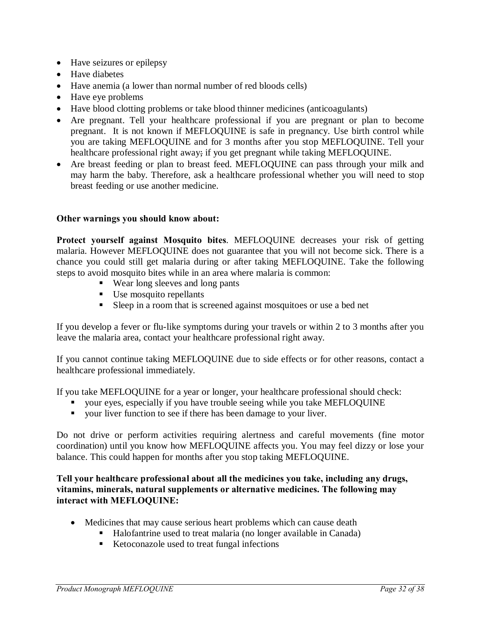- · Have seizures or epilepsy
- Have diabetes
- Have anemia (a lower than normal number of red bloods cells)
- Have eye problems
- · Have blood clotting problems or take blood thinner medicines (anticoagulants)
- · Are pregnant. Tell your healthcare professional if you are pregnant or plan to become pregnant. It is not known if MEFLOQUINE is safe in pregnancy. Use birth control while you are taking MEFLOQUINE and for 3 months after you stop MEFLOQUINE. Tell your healthcare professional right away; if you get pregnant while taking MEFLOQUINE.
- Are breast feeding or plan to breast feed. MEFLOQUINE can pass through your milk and may harm the baby. Therefore, ask a healthcare professional whether you will need to stop breast feeding or use another medicine.

#### **Other warnings you should know about:**

**Protect yourself against Mosquito bites**. MEFLOQUINE decreases your risk of getting malaria. However MEFLOQUINE does not guarantee that you will not become sick. There is a chance you could still get malaria during or after taking MEFLOQUINE. Take the following steps to avoid mosquito bites while in an area where malaria is common:

- Wear long sleeves and long pants
- $\blacksquare$  Use mosquito repellants
- Sleep in a room that is screened against mosquitoes or use a bed net

If you develop a fever or flu-like symptoms during your travels or within 2 to 3 months after you leave the malaria area, contact your healthcare professional right away.

If you cannot continue taking MEFLOQUINE due to side effects or for other reasons, contact a healthcare professional immediately.

If you take MEFLOQUINE for a year or longer, your healthcare professional should check:

- ß your eyes, especially if you have trouble seeing while you take MEFLOQUINE
- your liver function to see if there has been damage to your liver.

Do not drive or perform activities requiring alertness and careful movements (fine motor coordination) until you know how MEFLOQUINE affects you. You may feel dizzy or lose your balance. This could happen for months after you stop taking MEFLOQUINE.

**Tell your healthcare professional about all the medicines you take, including any drugs, vitamins, minerals, natural supplements or alternative medicines. The following may interact with MEFLOQUINE:**

- Medicines that may cause serious heart problems which can cause death
	- Halofantrine used to treat malaria (no longer available in Canada)
	- Ketoconazole used to treat fungal infections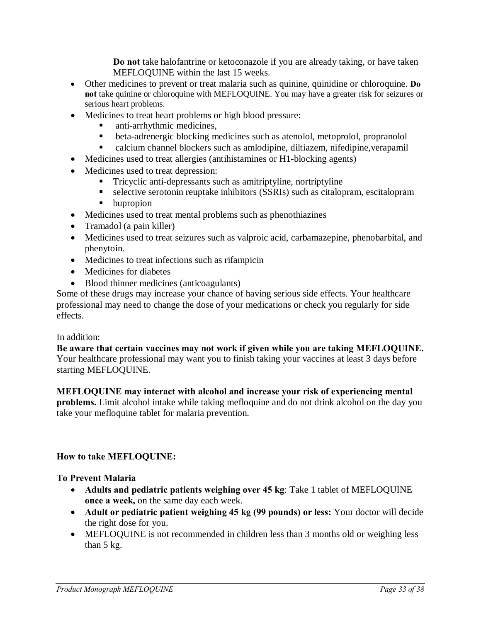**Do not** take halofantrine or ketoconazole if you are already taking, or have taken MEFLOQUINE within the last 15 weeks.

- · Other medicines to prevent or treat malaria such as quinine, quinidine or chloroquine. **Do not** take quinine or chloroquine with MEFLOQUINE. You may have a greater risk for seizures or serious heart problems.
- · Medicines to treat heart problems or high blood pressure:
	- ß anti-arrhythmic medicines,
	- **•** beta-adrenergic blocking medicines such as atenolol, metoprolol, propranolol
	- ß calcium channel blockers such as amlodipine, diltiazem, nifedipine,verapamil
- Medicines used to treat allergies (antihistamines or H1-blocking agents)
- · Medicines used to treat depression:
	- **Tricyclic anti-depressants such as amitriptyline, nortriptyline**
	- $\blacksquare$  selective serotonin reuptake inhibitors (SSRIs) such as citalopram, escitalopram
	- **u** bupropion
- · Medicines used to treat mental problems such as phenothiazines
- Tramadol (a pain killer)
- · Medicines used to treat seizures such as valproic acid, carbamazepine, phenobarbital, and phenytoin.
- · Medicines to treat infections such as rifampicin
- Medicines for diabetes
- Blood thinner medicines (anticoagulants)

Some of these drugs may increase your chance of having serious side effects. Your healthcare professional may need to change the dose of your medications or check you regularly for side effects.

### In addition:

**Be aware that certain vaccines may not work if given while you are taking MEFLOQUINE.** Your healthcare professional may want you to finish taking your vaccines at least 3 days before starting MEFLOQUINE.

### **MEFLOQUINE may interact with alcohol and increase your risk of experiencing mental**

**problems.** Limit alcohol intake while taking mefloquine and do not drink alcohol on the day you take your mefloquine tablet for malaria prevention.

# **How to take MEFLOQUINE:**

### **To Prevent Malaria**

- · **Adults and pediatric patients weighing over 45 kg**: Take 1 tablet of MEFLOQUINE **once a week,** on the same day each week.
- · **Adult or pediatric patient weighing 45 kg (99 pounds) or less:** Your doctor will decide the right dose for you.
- MEFLOQUINE is not recommended in children less than 3 months old or weighing less than 5 kg.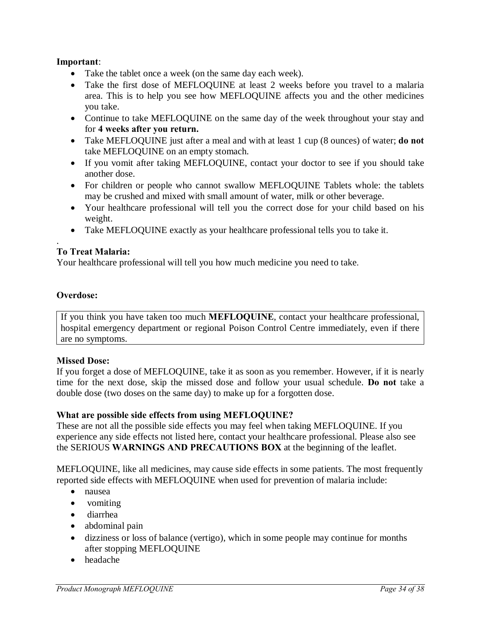### **Important**:

- Take the tablet once a week (on the same day each week).
- Take the first dose of MEFLOQUINE at least 2 weeks before you travel to a malaria area. This is to help you see how MEFLOQUINE affects you and the other medicines you take.
- Continue to take MEFLOQUINE on the same day of the week throughout your stay and for **4 weeks after you return.**
- · Take MEFLOQUINE just after a meal and with at least 1 cup (8 ounces) of water; **do not** take MEFLOQUINE on an empty stomach.
- If you vomit after taking MEFLOQUINE, contact your doctor to see if you should take another dose.
- · For children or people who cannot swallow MEFLOQUINE Tablets whole: the tablets may be crushed and mixed with small amount of water, milk or other beverage.
- · Your healthcare professional will tell you the correct dose for your child based on his weight.
- Take MEFLOQUINE exactly as your healthcare professional tells you to take it.

### **To Treat Malaria:**

Your healthcare professional will tell you how much medicine you need to take.

### **Overdose:**

.

If you think you have taken too much **MEFLOQUINE**, contact your healthcare professional, hospital emergency department or regional Poison Control Centre immediately, even if there are no symptoms.

### **Missed Dose:**

If you forget a dose of MEFLOQUINE, take it as soon as you remember. However, if it is nearly time for the next dose, skip the missed dose and follow your usual schedule. **Do not** take a double dose (two doses on the same day) to make up for a forgotten dose.

### **What are possible side effects from using MEFLOQUINE?**

These are not all the possible side effects you may feel when taking MEFLOQUINE. If you experience any side effects not listed here, contact your healthcare professional. Please also see the SERIOUS **WARNINGS AND PRECAUTIONS BOX** at the beginning of the leaflet.

MEFLOQUINE, like all medicines, may cause side effects in some patients. The most frequently reported side effects with MEFLOQUINE when used for prevention of malaria include:

- · nausea
- vomiting
- · diarrhea
- abdominal pain
- · dizziness or loss of balance (vertigo), which in some people may continue for months after stopping MEFLOQUINE
- headache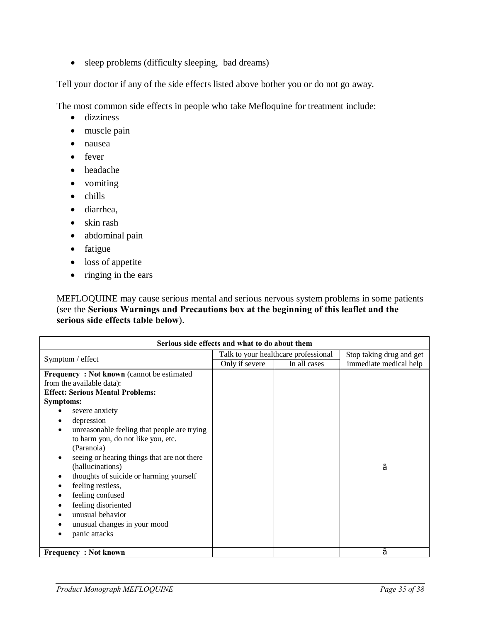• sleep problems (difficulty sleeping, bad dreams)

Tell your doctor if any of the side effects listed above bother you or do not go away.

The most common side effects in people who take Mefloquine for treatment include:

- dizziness
- muscle pain
- · nausea
- fever
- · headache
- vomiting
- chills
- · diarrhea,
- skin rash
- · abdominal pain
- fatigue
- loss of appetite
- ringing in the ears

MEFLOQUINE may cause serious mental and serious nervous system problems in some patients (see the **Serious Warnings and Precautions box at the beginning of this leaflet and the serious side effects table below**).

| Serious side effects and what to do about them                                                                                                                                                                                                                                                                                                                                                                                                                                                                                     |                                                                        |  |                                                    |  |
|------------------------------------------------------------------------------------------------------------------------------------------------------------------------------------------------------------------------------------------------------------------------------------------------------------------------------------------------------------------------------------------------------------------------------------------------------------------------------------------------------------------------------------|------------------------------------------------------------------------|--|----------------------------------------------------|--|
| Symptom / effect                                                                                                                                                                                                                                                                                                                                                                                                                                                                                                                   | Talk to your healthcare professional<br>Only if severe<br>In all cases |  | Stop taking drug and get<br>immediate medical help |  |
| <b>Frequency: Not known</b> (cannot be estimated<br>from the available data):<br><b>Effect: Serious Mental Problems:</b><br><b>Symptoms:</b><br>severe anxiety<br>depression<br>unreasonable feeling that people are trying<br>to harm you, do not like you, etc.<br>(Paranoia)<br>seeing or hearing things that are not there<br>(hallucinations)<br>thoughts of suicide or harming yourself<br>feeling restless,<br>feeling confused<br>feeling disoriented<br>unusual behavior<br>unusual changes in your mood<br>panic attacks |                                                                        |  | ç                                                  |  |
| <b>Frequency: Not known</b>                                                                                                                                                                                                                                                                                                                                                                                                                                                                                                        |                                                                        |  | ç                                                  |  |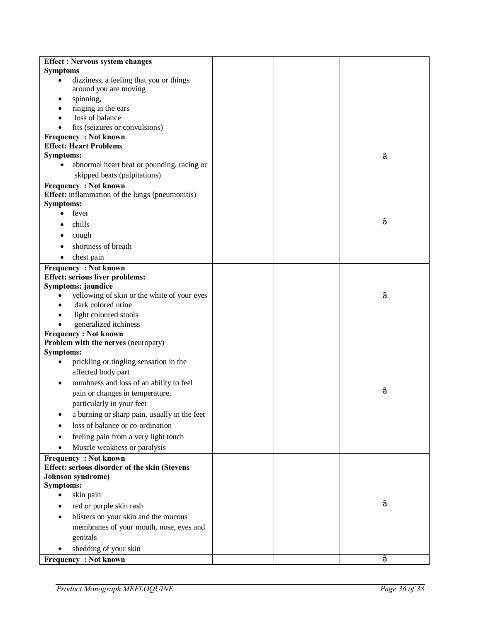| <b>Effect: Nervous system changes</b>                        |  |   |
|--------------------------------------------------------------|--|---|
| <b>Symptoms</b>                                              |  |   |
| dizziness, a feeling that you or things                      |  |   |
| around you are moving                                        |  |   |
| spinning,                                                    |  |   |
| ringing in the ears                                          |  |   |
| loss of balance                                              |  |   |
| fits (seizures or convulsions)                               |  |   |
| <b>Frequency: Not known</b><br><b>Effect: Heart Problems</b> |  |   |
| <b>Symptoms:</b>                                             |  |   |
| abnormal heart beat or pounding, racing or                   |  | ç |
| skipped beats (palpitations)                                 |  |   |
| <b>Frequency: Not known</b>                                  |  |   |
| Effect: inflammation of the lungs (pneumonitis)              |  |   |
| <b>Symptoms:</b>                                             |  |   |
| fever<br>$\bullet$                                           |  |   |
| chills                                                       |  | ç |
| cough                                                        |  |   |
| shortness of breath                                          |  |   |
| chest pain<br>$\bullet$                                      |  |   |
| <b>Frequency: Not known</b>                                  |  |   |
| <b>Effect: serious liver problems:</b>                       |  |   |
| Symptoms: jaundice                                           |  |   |
| yellowing of skin or the white of your eyes                  |  | ç |
| dark colored urine                                           |  |   |
| light coloured stools                                        |  |   |
| generalized itchiness                                        |  |   |
| <b>Frequency: Not known</b>                                  |  |   |
| Problem with the nerves (neuropaty)                          |  |   |
| <b>Symptoms:</b>                                             |  |   |
| prickling or tingling sensation in the                       |  |   |
| affected body part                                           |  |   |
| numbness and loss of an ability to feel                      |  |   |
| pain or changes in temperature,                              |  | ç |
| particularly in your feet                                    |  |   |
| a burning or sharp pain, usually in the feet                 |  |   |
| loss of balance or co-ordination                             |  |   |
| feeling pain from a very light touch                         |  |   |
| Muscle weakness or paralysis                                 |  |   |
| <b>Frequency: Not known</b>                                  |  |   |
| Effect: serious disorder of the skin (Stevens                |  |   |
| Johnson syndrome)                                            |  |   |
| <b>Symptoms:</b>                                             |  |   |
| skin pain                                                    |  |   |
| red or purple skin rash                                      |  | ç |
| blisters on your skin and the mucous<br>٠                    |  |   |
| membranes of your mouth, nose, eyes and                      |  |   |
| genitals                                                     |  |   |
| shedding of your skin                                        |  |   |
| <b>Frequency: Not known</b>                                  |  | Ç |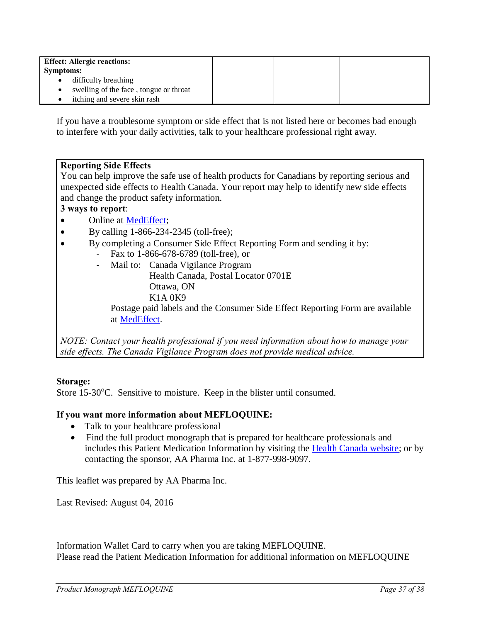| <b>Effect: Allergic reactions:</b> |                                          |  |  |
|------------------------------------|------------------------------------------|--|--|
| <b>Symptoms:</b>                   |                                          |  |  |
|                                    | • difficulty breathing                   |  |  |
|                                    | • swelling of the face, tongue or throat |  |  |
|                                    | itching and severe skin rash             |  |  |

If you have a troublesome symptom or side effect that is not listed here or becomes bad enough to interfere with your daily activities, talk to your healthcare professional right away.

#### **Reporting Side Effects**

You can help improve the safe use of health products for Canadians by reporting serious and unexpected side effects to Health Canada. Your report may help to identify new side effects and change the product safety information.

### **3 ways to report**:

- Online at [MedEffect;](http://hc-sc.gc.ca/dhp-mps/medeff/index-eng.php)
- By calling 1-866-234-2345 (toll-free);
- · By completing a Consumer Side Effect Reporting Form and sending it by:
	- Fax to 1-866-678-6789 (toll-free), or
		- Mail to: Canada Vigilance Program Health Canada, Postal Locator 0701E Ottawa, ON K1A 0K9

Postage paid labels and the Consumer Side Effect Reporting Form are available at [MedEffect.](http://hc-sc.gc.ca/dhp-mps/medeff/index-eng.php)

*NOTE: Contact your health professional if you need information about how to manage your side effects. The Canada Vigilance Program does not provide medical advice.*

#### **Storage:**

Store  $15{\text -}30^{\circ}$ C. Sensitive to moisture. Keep in the blister until consumed.

#### **If you want more information about MEFLOQUINE:**

- Talk to your healthcare professional
- Find the full product monograph that is prepared for healthcare professionals and includes this Patient Medication Information by visiting the [Health Canada website;](http://hc-sc.gc.ca/index-eng.php) or by contacting the sponsor, AA Pharma Inc. at 1-877-998-9097.

This leaflet was prepared by AA Pharma Inc.

Last Revised: August 04, 2016

Information Wallet Card to carry when you are taking MEFLOQUINE. Please read the Patient Medication Information for additional information on MEFLOQUINE